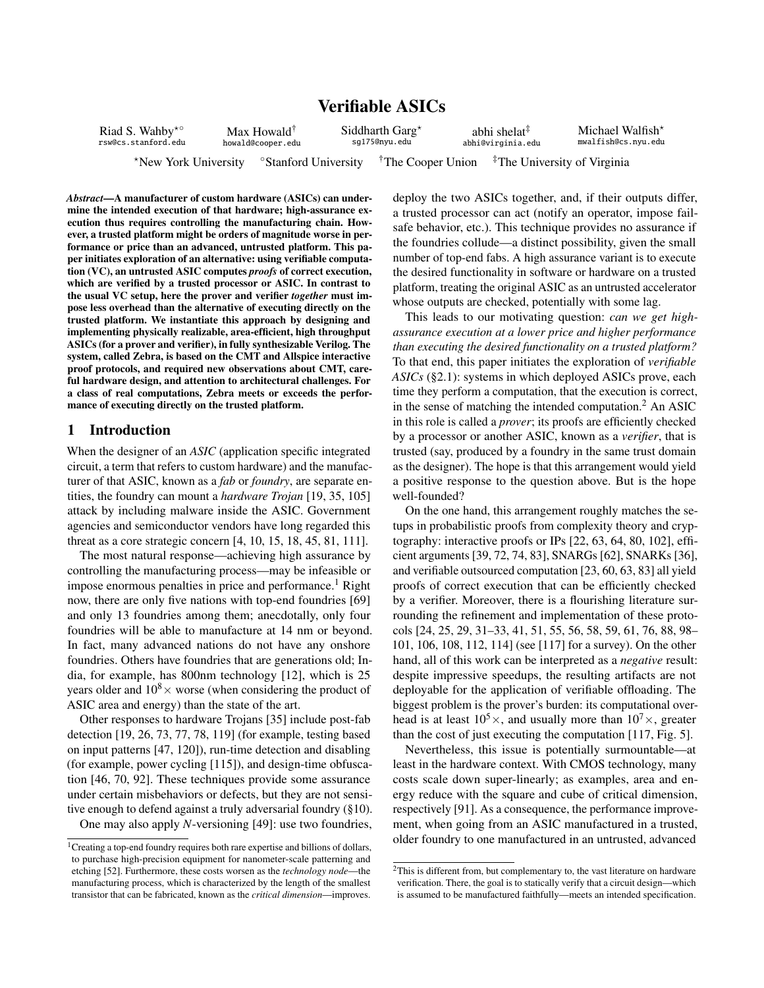# Verifiable ASICs

| Riad S. Wahby <sup>*</sup> ° | Max Howald <sup>†</sup> |                                  | Siddharth Garg $\star$        |  | abhi shelat <sup>‡</sup> | Michael Walfish <sup>*</sup>            |
|------------------------------|-------------------------|----------------------------------|-------------------------------|--|--------------------------|-----------------------------------------|
| rsw@cs.stanford.edu          | howald@cooper.edu       |                                  | sq175@nyu.edu                 |  | abhi@virginia.edu        | mwalfish@cs.nvu.edu                     |
| *New York University         |                         | <sup>o</sup> Stanford University | <sup>†</sup> The Cooper Union |  |                          | <sup>#</sup> The University of Virginia |

*Abstract*—A manufacturer of custom hardware (ASICs) can undermine the intended execution of that hardware; high-assurance execution thus requires controlling the manufacturing chain. However, a trusted platform might be orders of magnitude worse in performance or price than an advanced, untrusted platform. This paper initiates exploration of an alternative: using verifiable computation (VC), an untrusted ASIC computes *proofs* of correct execution, which are verified by a trusted processor or ASIC. In contrast to the usual VC setup, here the prover and verifier *together* must impose less overhead than the alternative of executing directly on the trusted platform. We instantiate this approach by designing and implementing physically realizable, area-efficient, high throughput ASICs (for a prover and verifier), in fully synthesizable Verilog. The system, called Zebra, is based on the CMT and Allspice interactive proof protocols, and required new observations about CMT, careful hardware design, and attention to architectural challenges. For a class of real computations, Zebra meets or exceeds the performance of executing directly on the trusted platform.

# <span id="page-0-0"></span>1 Introduction

When the designer of an *ASIC* (application specific integrated circuit, a term that refers to custom hardware) and the manufacturer of that ASIC, known as a *fab* or *foundry*, are separate entities, the foundry can mount a *hardware Trojan* [\[19,](#page-17-0) [35,](#page-18-0) [105\]](#page-19-0) attack by including malware inside the ASIC. Government agencies and semiconductor vendors have long regarded this threat as a core strategic concern [\[4,](#page-17-1) [10,](#page-17-2) [15,](#page-17-3) [18,](#page-17-4) [45,](#page-18-1) [81,](#page-19-1) [111\]](#page-19-2).

The most natural response—achieving high assurance by controlling the manufacturing process—may be infeasible or impose enormous penalties in price and performance.<sup>1</sup> Right now, there are only five nations with top-end foundries [\[69\]](#page-18-2) and only 13 foundries among them; anecdotally, only four foundries will be able to manufacture at 14 nm or beyond. In fact, many advanced nations do not have any onshore foundries. Others have foundries that are generations old; India, for example, has 800nm technology [\[12\]](#page-17-5), which is 25 years older and  $10^8 \times$  worse (when considering the product of ASIC area and energy) than the state of the art.

Other responses to hardware Trojans [\[35\]](#page-18-0) include post-fab detection [\[19,](#page-17-0) [26,](#page-18-3) [73,](#page-19-3) [77,](#page-19-4) [78,](#page-19-5) [119\]](#page-19-6) (for example, testing based on input patterns [\[47,](#page-18-4) [120\]](#page-19-7)), run-time detection and disabling (for example, power cycling [\[115\]](#page-19-8)), and design-time obfuscation [\[46,](#page-18-5) [70,](#page-18-6) [92\]](#page-19-9). These techniques provide some assurance under certain misbehaviors or defects, but they are not sensitive enough to defend against a truly adversarial foundry ([§10\)](#page-16-0).

One may also apply *N*-versioning [\[49\]](#page-18-7): use two foundries,

deploy the two ASICs together, and, if their outputs differ, a trusted processor can act (notify an operator, impose failsafe behavior, etc.). This technique provides no assurance if the foundries collude—a distinct possibility, given the small number of top-end fabs. A high assurance variant is to execute the desired functionality in software or hardware on a trusted platform, treating the original ASIC as an untrusted accelerator whose outputs are checked, potentially with some lag.

This leads to our motivating question: *can we get highassurance execution at a lower price and higher performance than executing the desired functionality on a trusted platform?* To that end, this paper initiates the exploration of *verifiable ASICs* ([§2.1\)](#page-2-0): systems in which deployed ASICs prove, each time they perform a computation, that the execution is correct, in the sense of matching the intended computation. $<sup>2</sup>$  An ASIC</sup> in this role is called a *prover*; its proofs are efficiently checked by a processor or another ASIC, known as a *verifier*, that is trusted (say, produced by a foundry in the same trust domain as the designer). The hope is that this arrangement would yield a positive response to the question above. But is the hope well-founded?

On the one hand, this arrangement roughly matches the setups in probabilistic proofs from complexity theory and cryptography: interactive proofs or IPs [\[22,](#page-17-6) [63,](#page-18-9) [64,](#page-18-10) [80,](#page-19-10) [102\]](#page-19-11), efficient arguments [\[39,](#page-18-11) [72,](#page-18-12) [74,](#page-19-12) [83\]](#page-19-13), SNARGs [\[62\]](#page-18-13), SNARKs [\[36\]](#page-18-14), and verifiable outsourced computation [\[23,](#page-17-7) [60,](#page-18-15) [63,](#page-18-9) [83\]](#page-19-13) all yield proofs of correct execution that can be efficiently checked by a verifier. Moreover, there is a flourishing literature surrounding the refinement and implementation of these protocols [\[24,](#page-18-16) [25,](#page-18-17) [29,](#page-18-18) [31–](#page-18-19)[33,](#page-18-20) [41,](#page-18-21) [51,](#page-18-22) [55,](#page-18-23) [56,](#page-18-24) [58,](#page-18-25) [59,](#page-18-26) [61,](#page-18-27) [76,](#page-19-14) [88,](#page-19-15) [98–](#page-19-16) [101,](#page-19-17) [106,](#page-19-18) [108,](#page-19-19) [112,](#page-19-20) [114\]](#page-19-21) (see [\[117\]](#page-19-22) for a survey). On the other hand, all of this work can be interpreted as a *negative* result: despite impressive speedups, the resulting artifacts are not deployable for the application of verifiable offloading. The biggest problem is the prover's burden: its computational overhead is at least  $10^5 \times$ , and usually more than  $10^7 \times$ , greater than the cost of just executing the computation [\[117,](#page-19-22) Fig. 5].

Nevertheless, this issue is potentially surmountable—at least in the hardware context. With CMOS technology, many costs scale down super-linearly; as examples, area and energy reduce with the square and cube of critical dimension, respectively [\[91\]](#page-19-23). As a consequence, the performance improvement, when going from an ASIC manufactured in a trusted, older foundry to one manufactured in an untrusted, advanced

<sup>&</sup>lt;sup>1</sup>Creating a top-end foundry requires both rare expertise and billions of dollars, to purchase high-precision equipment for nanometer-scale patterning and etching [\[52\]](#page-18-8). Furthermore, these costs worsen as the *technology node*—the manufacturing process, which is characterized by the length of the smallest transistor that can be fabricated, known as the *critical dimension*—improves.

<sup>&</sup>lt;sup>2</sup>This is different from, but complementary to, the vast literature on hardware verification. There, the goal is to statically verify that a circuit design—which is assumed to be manufactured faithfully—meets an intended specification.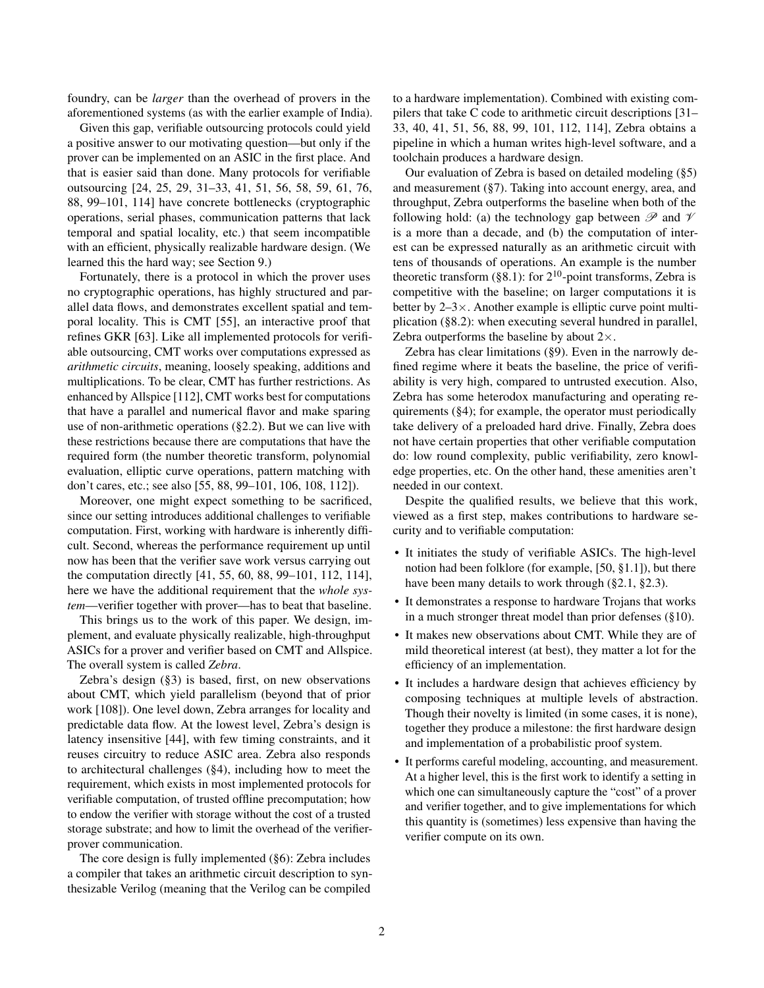foundry, can be *larger* than the overhead of provers in the aforementioned systems (as with the earlier example of India).

Given this gap, verifiable outsourcing protocols could yield a positive answer to our motivating question—but only if the prover can be implemented on an ASIC in the first place. And that is easier said than done. Many protocols for verifiable outsourcing [\[24,](#page-18-16) [25,](#page-18-17) [29,](#page-18-18) [31](#page-18-19)[–33,](#page-18-20) [41,](#page-18-21) [51,](#page-18-22) [56,](#page-18-24) [58,](#page-18-25) [59,](#page-18-26) [61,](#page-18-27) [76,](#page-19-14) [88,](#page-19-15) [99–](#page-19-24)[101,](#page-19-17) [114\]](#page-19-21) have concrete bottlenecks (cryptographic operations, serial phases, communication patterns that lack temporal and spatial locality, etc.) that seem incompatible with an efficient, physically realizable hardware design. (We learned this the hard way; see Section [9.](#page-15-0))

Fortunately, there is a protocol in which the prover uses no cryptographic operations, has highly structured and parallel data flows, and demonstrates excellent spatial and temporal locality. This is CMT [\[55\]](#page-18-23), an interactive proof that refines GKR [\[63\]](#page-18-9). Like all implemented protocols for verifiable outsourcing, CMT works over computations expressed as *arithmetic circuits*, meaning, loosely speaking, additions and multiplications. To be clear, CMT has further restrictions. As enhanced by Allspice [\[112\]](#page-19-20), CMT works best for computations that have a parallel and numerical flavor and make sparing use of non-arithmetic operations ([§2.2\)](#page-2-1). But we can live with these restrictions because there are computations that have the required form (the number theoretic transform, polynomial evaluation, elliptic curve operations, pattern matching with don't cares, etc.; see also [\[55,](#page-18-23) [88,](#page-19-15) [99](#page-19-24)[–101,](#page-19-17) [106,](#page-19-18) [108,](#page-19-19) [112\]](#page-19-20)).

Moreover, one might expect something to be sacrificed, since our setting introduces additional challenges to verifiable computation. First, working with hardware is inherently difficult. Second, whereas the performance requirement up until now has been that the verifier save work versus carrying out the computation directly [\[41,](#page-18-21) [55,](#page-18-23) [60,](#page-18-15) [88,](#page-19-15) [99–](#page-19-24)[101,](#page-19-17) [112,](#page-19-20) [114\]](#page-19-21), here we have the additional requirement that the *whole system*—verifier together with prover—has to beat that baseline.

This brings us to the work of this paper. We design, implement, and evaluate physically realizable, high-throughput ASICs for a prover and verifier based on CMT and Allspice. The overall system is called *Zebra*.

Zebra's design ([§3\)](#page-5-0) is based, first, on new observations about CMT, which yield parallelism (beyond that of prior work [\[108\]](#page-19-19)). One level down, Zebra arranges for locality and predictable data flow. At the lowest level, Zebra's design is latency insensitive [\[44\]](#page-18-28), with few timing constraints, and it reuses circuitry to reduce ASIC area. Zebra also responds to architectural challenges ([§4\)](#page-8-0), including how to meet the requirement, which exists in most implemented protocols for verifiable computation, of trusted offline precomputation; how to endow the verifier with storage without the cost of a trusted storage substrate; and how to limit the overhead of the verifierprover communication.

The core design is fully implemented ([§6\)](#page-10-0): Zebra includes a compiler that takes an arithmetic circuit description to synthesizable Verilog (meaning that the Verilog can be compiled to a hardware implementation). Combined with existing compilers that take C code to arithmetic circuit descriptions [\[31–](#page-18-19) [33,](#page-18-20) [40,](#page-18-29) [41,](#page-18-21) [51,](#page-18-22) [56,](#page-18-24) [88,](#page-19-15) [99,](#page-19-24) [101,](#page-19-17) [112,](#page-19-20) [114\]](#page-19-21), Zebra obtains a pipeline in which a human writes high-level software, and a toolchain produces a hardware design.

Our evaluation of Zebra is based on detailed modeling ([§5\)](#page-9-0) and measurement ([§7\)](#page-10-1). Taking into account energy, area, and throughput, Zebra outperforms the baseline when both of the following hold: (a) the technology gap between  $\mathscr P$  and  $\mathscr V$ is a more than a decade, and (b) the computation of interest can be expressed naturally as an arithmetic circuit with tens of thousands of operations. An example is the number theoretic transform  $(\S 8.1)$ : for  $2^{10}$ -point transforms, Zebra is competitive with the baseline; on larger computations it is better by  $2-3\times$ . Another example is elliptic curve point multiplication ([§8.2\)](#page-14-0): when executing several hundred in parallel, Zebra outperforms the baseline by about  $2 \times$ .

Zebra has clear limitations ([§9\)](#page-15-0). Even in the narrowly defined regime where it beats the baseline, the price of verifiability is very high, compared to untrusted execution. Also, Zebra has some heterodox manufacturing and operating requirements ([§4\)](#page-8-0); for example, the operator must periodically take delivery of a preloaded hard drive. Finally, Zebra does not have certain properties that other verifiable computation do: low round complexity, public verifiability, zero knowledge properties, etc. On the other hand, these amenities aren't needed in our context.

Despite the qualified results, we believe that this work, viewed as a first step, makes contributions to hardware security and to verifiable computation:

- It initiates the study of verifiable ASICs. The high-level notion had been folklore (for example, [\[50,](#page-18-30) §1.1]), but there have been many details to work through ([§2.1,](#page-2-0) [§2.3\)](#page-5-1).
- It demonstrates a response to hardware Trojans that works in a much stronger threat model than prior defenses ([§10\)](#page-16-0).
- It makes new observations about CMT. While they are of mild theoretical interest (at best), they matter a lot for the efficiency of an implementation.
- It includes a hardware design that achieves efficiency by composing techniques at multiple levels of abstraction. Though their novelty is limited (in some cases, it is none), together they produce a milestone: the first hardware design and implementation of a probabilistic proof system.
- It performs careful modeling, accounting, and measurement. At a higher level, this is the first work to identify a setting in which one can simultaneously capture the "cost" of a prover and verifier together, and to give implementations for which this quantity is (sometimes) less expensive than having the verifier compute on its own.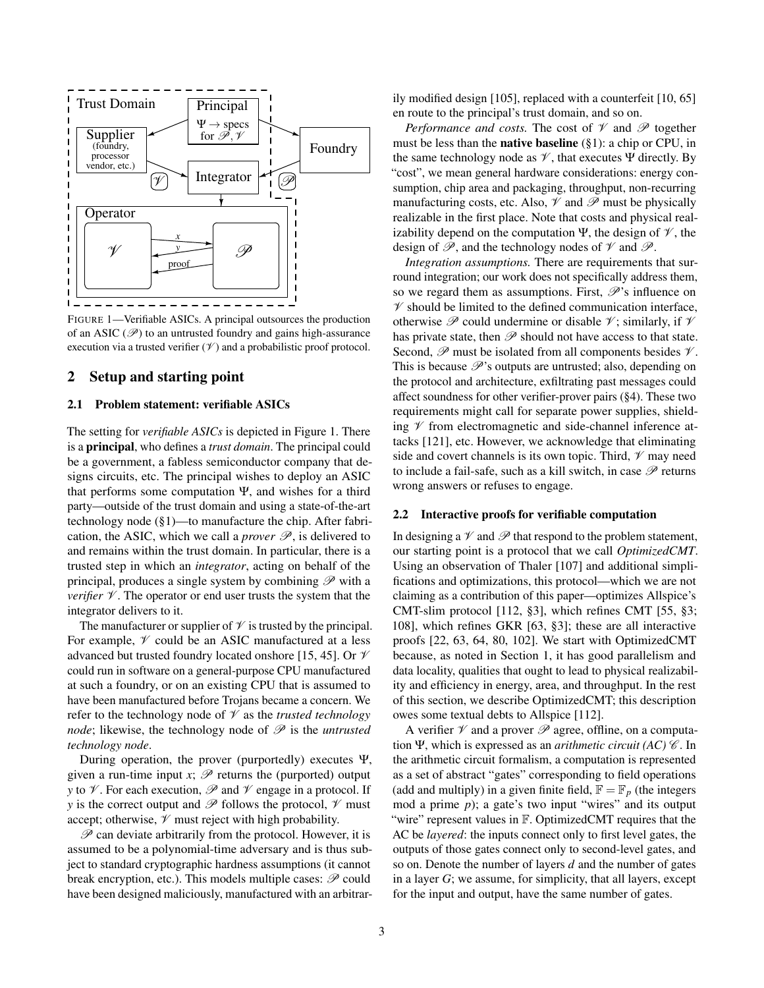<span id="page-2-2"></span>

FIGURE 1—Verifiable ASICs. A principal outsources the production of an ASIC ( $\mathscr{P}$ ) to an untrusted foundry and gains high-assurance execution via a trusted verifier  $(\mathcal{V})$  and a probabilistic proof protocol.

# 2 Setup and starting point

## <span id="page-2-0"></span>2.1 Problem statement: verifiable ASICs

The setting for *verifiable ASICs* is depicted in Figure [1.](#page-2-2) There is a principal, who defines a *trust domain*. The principal could be a government, a fabless semiconductor company that designs circuits, etc. The principal wishes to deploy an ASIC that performs some computation Ψ, and wishes for a third party—outside of the trust domain and using a state-of-the-art technology node ([§1\)](#page-0-0)—to manufacture the chip. After fabrication, the ASIC, which we call a *prover*  $\mathcal{P}$ , is delivered to and remains within the trust domain. In particular, there is a trusted step in which an *integrator*, acting on behalf of the principal, produces a single system by combining  $\mathscr P$  with a *verifier*  $V$ . The operator or end user trusts the system that the integrator delivers to it.

The manufacturer or supplier of  $\mathcal V$  is trusted by the principal. For example,  $\mathcal V$  could be an ASIC manufactured at a less advanced but trusted foundry located onshore [\[15,](#page-17-3) [45\]](#page-18-1). Or  $\mathcal V$ could run in software on a general-purpose CPU manufactured at such a foundry, or on an existing CPU that is assumed to have been manufactured before Trojans became a concern. We refer to the technology node of  $\mathcal V$  as the *trusted technology node*; likewise, the technology node of  $\mathcal{P}$  is the *untrusted technology node*.

During operation, the prover (purportedly) executes Ψ, given a run-time input  $x$ ;  $\mathscr P$  returns the (purported) output *y* to  $\mathcal V$ . For each execution,  $\mathcal P$  and  $\mathcal V$  engage in a protocol. If *y* is the correct output and  $\mathscr P$  follows the protocol,  $\mathscr V$  must accept; otherwise,  $\mathcal V$  must reject with high probability.

 $P$  can deviate arbitrarily from the protocol. However, it is assumed to be a polynomial-time adversary and is thus subject to standard cryptographic hardness assumptions (it cannot break encryption, etc.). This models multiple cases:  $\mathscr P$  could have been designed maliciously, manufactured with an arbitrarily modified design [\[105\]](#page-19-0), replaced with a counterfeit [\[10,](#page-17-2) [65\]](#page-18-31) en route to the principal's trust domain, and so on.

*Performance and costs.* The cost of  $\mathcal V$  and  $\mathcal P$  together must be less than the native baseline ([§1\)](#page-0-0): a chip or CPU, in the same technology node as  $\mathcal V$ , that executes  $\Psi$  directly. By "cost", we mean general hardware considerations: energy consumption, chip area and packaging, throughput, non-recurring manufacturing costs, etc. Also,  $\mathcal V$  and  $\mathcal P$  must be physically realizable in the first place. Note that costs and physical realizability depend on the computation Ψ, the design of  $\mathcal V$ , the design of  $\mathscr{P}$ , and the technology nodes of  $\mathscr{V}$  and  $\mathscr{P}$ .

*Integration assumptions.* There are requirements that surround integration; our work does not specifically address them, so we regard them as assumptions. First,  $\mathscr{P}$ 's influence on  $\mathscr V$  should be limited to the defined communication interface, otherwise  $\mathscr P$  could undermine or disable  $\mathscr V$ ; similarly, if  $\mathscr V$ has private state, then  $\mathscr P$  should not have access to that state. Second,  $\mathscr P$  must be isolated from all components besides  $\mathscr V$ . This is because  $\mathcal{P}$ 's outputs are untrusted; also, depending on the protocol and architecture, exfiltrating past messages could affect soundness for other verifier-prover pairs ([§4\)](#page-8-0). These two requirements might call for separate power supplies, shielding  $\mathscr V$  from electromagnetic and side-channel inference attacks [\[121\]](#page-19-25), etc. However, we acknowledge that eliminating side and covert channels is its own topic. Third,  $\mathcal V$  may need to include a fail-safe, such as a kill switch, in case  $\mathscr P$  returns wrong answers or refuses to engage.

# <span id="page-2-1"></span>2.2 Interactive proofs for verifiable computation

In designing a  $\mathcal V$  and  $\mathcal P$  that respond to the problem statement, our starting point is a protocol that we call *OptimizedCMT*. Using an observation of Thaler [\[107\]](#page-19-26) and additional simplifications and optimizations, this protocol—which we are not claiming as a contribution of this paper—optimizes Allspice's CMT-slim protocol [\[112,](#page-19-20) §3], which refines CMT [\[55,](#page-18-23) §3; [108\]](#page-19-19), which refines GKR [\[63,](#page-18-9) §3]; these are all interactive proofs [\[22,](#page-17-6) [63,](#page-18-9) [64,](#page-18-10) [80,](#page-19-10) [102\]](#page-19-11). We start with OptimizedCMT because, as noted in Section [1,](#page-0-0) it has good parallelism and data locality, qualities that ought to lead to physical realizability and efficiency in energy, area, and throughput. In the rest of this section, we describe OptimizedCMT; this description owes some textual debts to Allspice [\[112\]](#page-19-20).

A verifier  $\mathcal V$  and a prover  $\mathcal P$  agree, offline, on a computation Ψ, which is expressed as an *arithmetic circuit (AC) C*. In the arithmetic circuit formalism, a computation is represented as a set of abstract "gates" corresponding to field operations (add and multiply) in a given finite field,  $\mathbb{F} = \mathbb{F}_p$  (the integers mod a prime *p*); a gate's two input "wires" and its output "wire" represent values in F. OptimizedCMT requires that the AC be *layered*: the inputs connect only to first level gates, the outputs of those gates connect only to second-level gates, and so on. Denote the number of layers *d* and the number of gates in a layer *G*; we assume, for simplicity, that all layers, except for the input and output, have the same number of gates.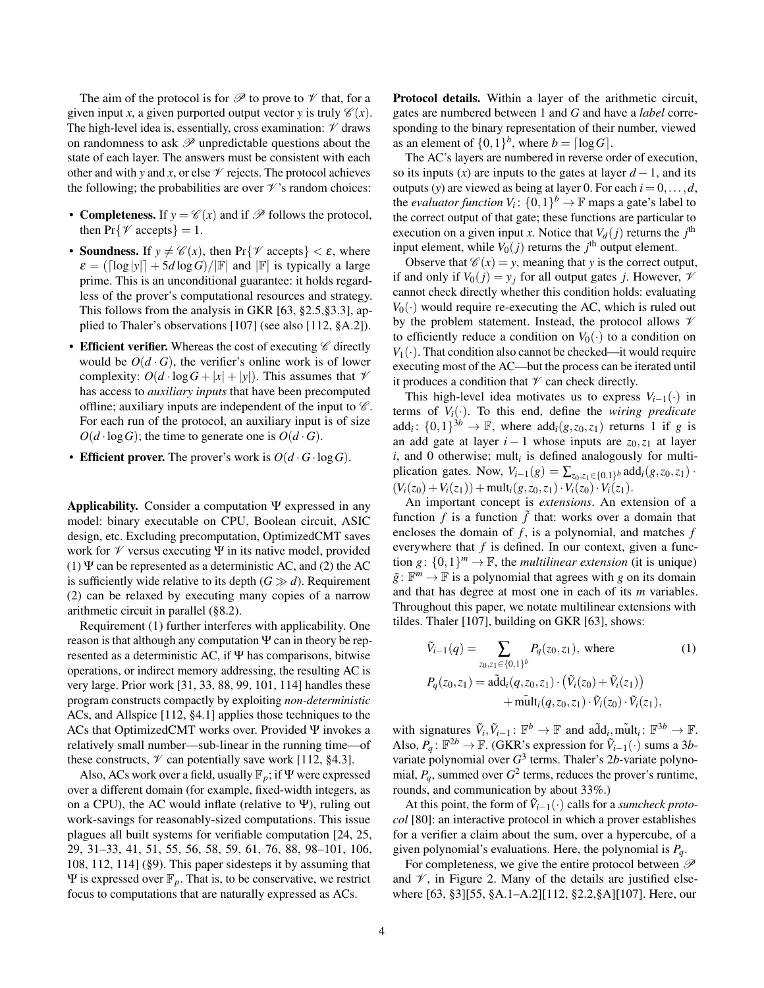The aim of the protocol is for  $\mathscr P$  to prove to  $\mathscr V$  that, for a given input *x*, a given purported output vector *y* is truly  $\mathcal{C}(x)$ . The high-level idea is, essentially, cross examination:  $\mathcal V$  draws on randomness to ask  $\mathcal P$  unpredictable questions about the state of each layer. The answers must be consistent with each other and with *y* and *x*, or else  $\mathcal V$  rejects. The protocol achieves the following; the probabilities are over  $\mathcal V$ 's random choices:

- **Completeness.** If  $y = \mathcal{C}(x)$  and if  $\mathcal{P}$  follows the protocol, then  $Pr\{\mathcal{V} \text{ accepts}\}=1$ .
- **Soundness.** If  $y \neq \mathcal{C}(x)$ , then Pr{ $\mathcal{V}$  accepts}  $\lt \varepsilon$ , where  $\varepsilon = (\lceil \log |y| \rceil + 5d \log G)/\lVert \mathbb{F} \rVert$  and  $\lVert \mathbb{F} \rVert$  is typically a large prime. This is an unconditional guarantee: it holds regardless of the prover's computational resources and strategy. This follows from the analysis in GKR [\[63,](#page-18-9) §2.5,§3.3], applied to Thaler's observations [\[107\]](#page-19-26) (see also [\[112,](#page-19-20) §A.2]).
- Efficient verifier. Whereas the cost of executing  $\mathscr C$  directly would be  $O(d \cdot G)$ , the verifier's online work is of lower complexity:  $O(d \cdot \log G + |x| + |y|)$ . This assumes that  $\mathcal V$ has access to *auxiliary inputs* that have been precomputed offline; auxiliary inputs are independent of the input to  $\mathscr C$ . For each run of the protocol, an auxiliary input is of size  $O(d \cdot \log G)$ ; the time to generate one is  $O(d \cdot G)$ .
- Efficient prover. The prover's work is  $O(d \cdot G \cdot \log G)$ .

Applicability. Consider a computation  $\Psi$  expressed in any model: binary executable on CPU, Boolean circuit, ASIC design, etc. Excluding precomputation, OptimizedCMT saves work for  $\mathcal V$  versus executing  $\Psi$  in its native model, provided (1)  $\Psi$  can be represented as a deterministic AC, and (2) the AC is sufficiently wide relative to its depth  $(G \gg d)$ . Requirement (2) can be relaxed by executing many copies of a narrow arithmetic circuit in parallel ([§8.2\)](#page-14-0).

Requirement (1) further interferes with applicability. One reason is that although any computation  $\Psi$  can in theory be represented as a deterministic AC, if Ψ has comparisons, bitwise operations, or indirect memory addressing, the resulting AC is very large. Prior work [\[31,](#page-18-19) [33,](#page-18-20) [88,](#page-19-15) [99,](#page-19-24) [101,](#page-19-17) [114\]](#page-19-21) handles these program constructs compactly by exploiting *non-deterministic* ACs, and Allspice [\[112,](#page-19-20) §4.1] applies those techniques to the ACs that OptimizedCMT works over. Provided Ψ invokes a relatively small number—sub-linear in the running time—of these constructs,  $\mathcal V$  can potentially save work [\[112,](#page-19-20) §4.3].

Also, ACs work over a field, usually F*p*; if Ψ were expressed over a different domain (for example, fixed-width integers, as on a CPU), the AC would inflate (relative to  $\Psi$ ), ruling out work-savings for reasonably-sized computations. This issue plagues all built systems for verifiable computation [\[24,](#page-18-16) [25,](#page-18-17) [29,](#page-18-18) [31–](#page-18-19)[33,](#page-18-20) [41,](#page-18-21) [51,](#page-18-22) [55,](#page-18-23) [56,](#page-18-24) [58,](#page-18-25) [59,](#page-18-26) [61,](#page-18-27) [76,](#page-19-14) [88,](#page-19-15) [98–](#page-19-16)[101,](#page-19-17) [106,](#page-19-18) [108,](#page-19-19) [112,](#page-19-20) [114\]](#page-19-21) ([§9\)](#page-15-1). This paper sidesteps it by assuming that  $\Psi$  is expressed over  $\mathbb{F}_p$ . That is, to be conservative, we restrict focus to computations that are naturally expressed as ACs.

Protocol details. Within a layer of the arithmetic circuit, gates are numbered between 1 and *G* and have a *label* corresponding to the binary representation of their number, viewed as an element of  $\{0,1\}^b$ , where  $b = \lceil \log G \rceil$ .

The AC's layers are numbered in reverse order of execution, so its inputs (*x*) are inputs to the gates at layer  $d-1$ , and its outputs (*y*) are viewed as being at layer 0. For each  $i = 0, \ldots, d$ , the *evaluator function*  $V_i$ :  $\{0,1\}^b \to \mathbb{F}$  maps a gate's label to the correct output of that gate; these functions are particular to execution on a given input *x*. Notice that  $V_d(j)$  returns the  $j^{\text{th}}$ input element, while  $V_0(j)$  returns the  $j^{\text{th}}$  output element.

Observe that  $\mathcal{C}(x) = y$ , meaning that *y* is the correct output, if and only if  $V_0(j) = y_j$  for all output gates *j*. However,  $\mathcal V$ cannot check directly whether this condition holds: evaluating  $V_0(\cdot)$  would require re-executing the AC, which is ruled out by the problem statement. Instead, the protocol allows  $\mathcal V$ to efficiently reduce a condition on  $V_0(\cdot)$  to a condition on  $V_1(\cdot)$ . That condition also cannot be checked—it would require executing most of the AC—but the process can be iterated until it produces a condition that  $\mathcal V$  can check directly.

This high-level idea motivates us to express  $V_{i-1}(\cdot)$  in terms of  $V_i(\cdot)$ . To this end, define the *wiring predicate* add<sub>*i*</sub>:  $\{0,1\}^{3b} \rightarrow \mathbb{F}$ , where add<sub>*i*</sub>(*g*,*z*<sub>0</sub>,*z*<sub>1</sub>) returns 1 if *g* is an add gate at layer  $i - 1$  whose inputs are  $z_0, z_1$  at layer  $i$ , and 0 otherwise; mult<sub>i</sub> is defined analogously for multiplication gates. Now,  $V_{i-1}(g) = \sum_{z_0, z_1 \in \{0,1\}^b} \text{add}_i(g, z_0, z_1)$ .  $(V_i(z_0) + V_i(z_1)) + \text{mult}_i(g, z_0, z_1) \cdot V_i(z_0) \cdot V_i(z_1).$ 

An important concept is *extensions*. An extension of a function  $f$  is a function  $\tilde{f}$  that: works over a domain that encloses the domain of *f* , is a polynomial, and matches *f* everywhere that *f* is defined. In our context, given a function  $g: \{0,1\}^m \to \mathbb{F}$ , the *multilinear extension* (it is unique)  $\tilde{g}$ :  $\mathbb{F}^m \to \mathbb{F}$  is a polynomial that agrees with *g* on its domain and that has degree at most one in each of its *m* variables. Throughout this paper, we notate multilinear extensions with tildes. Thaler [\[107\]](#page-19-26), building on GKR [\[63\]](#page-18-9), shows:

<span id="page-3-0"></span>
$$
\tilde{V}_{i-1}(q) = \sum_{z_0, z_1 \in \{0, 1\}^b} P_q(z_0, z_1), \text{ where } (1)
$$
\n
$$
P_q(z_0, z_1) = \tilde{\text{add}}_i(q, z_0, z_1) \cdot (\tilde{V}_i(z_0) + \tilde{V}_i(z_1)) + \tilde{\text{mult}}_i(q, z_0, z_1) \cdot \tilde{V}_i(z_0) \cdot \tilde{V}_i(z_1),
$$

with signatures  $\tilde{V}_i, \tilde{V}_{i-1}$ :  $\mathbb{F}^b \to \mathbb{F}$  and  $\tilde{\text{add}}_i, \tilde{\text{mult}}_i$ :  $\mathbb{F}^{3b} \to \mathbb{F}$ . Also,  $P_q$ :  $\mathbb{F}^{2b} \to \mathbb{F}$ . (GKR's expression for  $\tilde{V}_{i-1}(\cdot)$  sums a 3*b*variate polynomial over  $G^3$  terms. Thaler's 2b-variate polynomial,  $P_q$ , summed over  $G^2$  terms, reduces the prover's runtime, rounds, and communication by about 33%.)

At this point, the form of  $\tilde{V}_{i-1}(\cdot)$  calls for a *sumcheck protocol* [\[80\]](#page-19-10): an interactive protocol in which a prover establishes for a verifier a claim about the sum, over a hypercube, of a given polynomial's evaluations. Here, the polynomial is *Pq*.

For completeness, we give the entire protocol between  $\mathscr P$ and  $\mathcal V$ , in Figure [2.](#page-4-0) Many of the details are justified elsewhere [\[63,](#page-18-9) §3][\[55,](#page-18-23) §A.1–A.2][\[112,](#page-19-20) §2.2,§A][\[107\]](#page-19-26). Here, our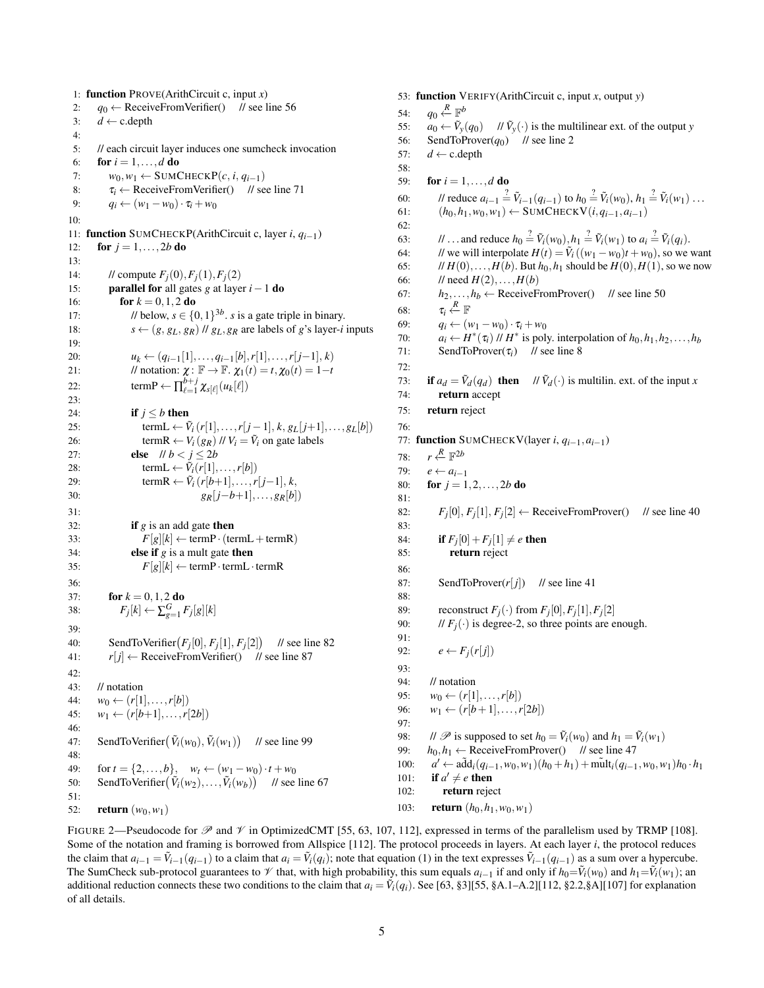<span id="page-4-0"></span>1: function PROVE(ArithCircuit c, input *x*) 2:  $q_0 \leftarrow$  ReceiveFromVerifier() // see line [56](#page-4-0) 3:  $d \leftarrow$  c.depth 4: 5: // each circuit layer induces one sumcheck invocation 6: **for**  $i = 1, ..., d$  **do** 7:  $w_0, w_1 \leftarrow \text{SUMCHECKP}(c, i, q_{i-1})$ 8:  $\tau_i \leftarrow \text{ReceiveFromVerifier}()$  // see line [71](#page-4-0) 9:  $q_i \leftarrow (w_1 - w_0) \cdot \tau_i + w_0$ 10: 11: function SUMCHECKP(ArithCircuit c, layer *i*, *qi*−1) 12: **for**  $j = 1, ..., 2b$  **do** 13: 14: // compute  $F_i(0), F_i(1), F_i(2)$ 15: parallel for all gates *g* at layer *i*−1 do 16: **for**  $k = 0, 1, 2$  **do** 17: // below,  $s \in \{0, 1\}^{3b}$ . *s* is a gate triple in binary. 18:  $s \leftarrow (g, g_L, g_R)$  //  $g_L, g_R$  are labels of *g*'s layer-*i* inputs 19: 20:  $u_k \leftarrow (q_{i-1}[1], \ldots, q_{i-1}[b], r[1], \ldots, r[j-1], k)$ 21: // notation:  $\chi: \mathbb{F} \to \mathbb{F}$ .  $\chi_1(t) = t, \chi_0(t) = 1-t$ 22: term  $P \leftarrow \prod_{\ell=1}^{b+j} \chi_{s[\ell]}(u_k[\ell])$  $23:$ 24: **if**  $j \leq b$  then 25: termL  $\leftarrow \tilde{V}_i(r[1],...,r[j-1],k,g_L[j+1],...,g_L[b])$ 26: termR  $\leftarrow$   $V_i(g_R)$  //  $V_i = \tilde{V}_i$  on gate labels 27: **else**  $||b| < j \le 2b$ 28: termL  $\leftarrow \tilde{V}_i(r[1], \ldots, r[b])$ 29: termR  $\leftarrow \tilde{V}_i(r[b+1],...,r[j-1],k,$ 30:  $g_R[i-b+1], \ldots, g_R[b]$  $31:$ 32: **if**  $g$  is an add gate **then** 33:  $F[g][k] \leftarrow \text{termP} \cdot (\text{termL} + \text{termR})$ 34: **else if**  $g$  is a mult gate **then** 35:  $F[g][k] \leftarrow \text{termP} \cdot \text{termL} \cdot \text{termR}$ 36: 37: **for**  $k = 0, 1, 2$  **do** 38:  $F_j[k] \leftarrow \sum_{g=1}^{G} F_j[g][k]$ 39: 40: SendToVerifier $(F_j[0], F_j[1], F_j[2])$  // see line [82](#page-4-0) 41:  $r[j] \leftarrow \text{ReceiveFromVerifier}()$  // see line [87](#page-4-0)  $42:$ 43: // notation 44:  $w_0 \leftarrow (r[1], \ldots, r[b])$ 45:  $w_1 \leftarrow (r[b+1], \ldots, r[2b])$ 46: 47: SendToVerifier $(\tilde{V}_i(w_0), \tilde{V}_i(w_1))$  // see line [99](#page-4-0) 48: 49: for  $t = \{2, ..., b\}$ ,  $w_t \leftarrow (w_1 - w_0) \cdot t + w_0$ 50: SendToVerifier $(\tilde{V}_i(w_2),..., \tilde{V}_i(w_b))$  // see line [67](#page-4-0) 51: 52: **return**  $(w_0, w_1)$ 

53: function VERIFY(ArithCircuit c, input *x*, output *y*) 54:  $q_0 \stackrel{R}{\leftarrow} \mathbb{F}^b$ 55:  $a_0 \leftarrow \tilde{V}_y(q_0)$  // $\tilde{V}_y(\cdot)$  is the multilinear ext. of the output *y* 56: SendToProver( $q_0$ ) // see line [2](#page-4-0) 57:  $d \leftarrow c$ .depth 58: 59: **for**  $i = 1, ..., d$  **do** 60: *Il* reduce  $a_{i-1} \stackrel{?}{=} \tilde{V}_{i-1}(q_{i-1})$  to  $h_0 \stackrel{?}{=} \tilde{V}_i(w_0), h_1 \stackrel{?}{=} \tilde{V}_i(w_1) \dots$ 61:  $(h_0, h_1, w_0, w_1) \leftarrow \text{SUMCHECKV}(i, q_{i-1}, a_{i-1})$ 62: 63: *//* ... and reduce  $h_0 \stackrel{?}{=} \tilde{V}_i(w_0), h_1 \stackrel{?}{=} \tilde{V}_i(w_1)$  to  $a_i \stackrel{?}{=} \tilde{V}_i(q_i)$ . 64: // we will interpolate  $H(t) = \tilde{V}_i((w_1 - w_0)t + w_0)$ , so we want 65: //  $H(0),...,H(b)$ . But  $h_0, h_1$  should be  $H(0), H(1)$ , so we now 66: // need  $H(2),...,H(b)$ 67:  $h_2, \ldots, h_b \leftarrow \text{ReceiveFromProver}()$  // see line [50](#page-4-0) 68: τ*i R* ←− F 69:  $q_i \leftarrow (w_1 - w_0) \cdot \tau_i + w_0$ 70:  $a_i \leftarrow H^*(\tau_i)$  //  $H^*$  is poly. interpolation of  $h_0, h_1, h_2, \ldots, h_b$ 71: SendToProver( $\tau_i$ ) // see line [8](#page-4-0) 72: 73: **if**  $a_d = \tilde{V}_d(q_d)$  then //  $\tilde{V}_d(\cdot)$  is multilin. ext. of the input *x* 74: return accept 75: return reject 76: 77: function SUMCHECKV(layer *i*, *qi*−1,*ai*−1) 78: *r R* ←− F 2*b* 79:  $e \leftarrow a_{i-1}$ 80: **for**  $j = 1, 2, ..., 2b$  **do**  $81.$ 82: *Fj*  $[0], F_j[1], F_j[2] \leftarrow$  ReceiveFromProver() // see line [40](#page-4-0) 83: 84: **if**  $F_j[0]+F_j[1]\neq e$  then 85: return reject 86: 87: SendToProver( $r[j]$ ) // see line [41](#page-4-0) 88: 89: reconstruct  $F_j(\cdot)$  from  $F_j[0], F_j[1], F_j[2]$ 90: //  $F_i(\cdot)$  is degree-2, so three points are enough. 91: 92:  $e \leftarrow F_i(r[j])$ 93: 94: // notation 95:  $w_0 \leftarrow (r[1], \ldots, r[b])$ 96:  $w_1 \leftarrow (r[b+1], \ldots, r[2b])$ 97: 98: //  $\mathscr{P}$  is supposed to set  $h_0 = \tilde{V}_i(w_0)$  and  $h_1 = \tilde{V}_i(w_1)$ 99:  $h_0, h_1 \leftarrow \text{ReceiveFromProver}()$  // see line [47](#page-4-0) 100: *a*  $y'$  ←  $a\tilde{d}d_i(q_{i-1}, w_0, w_1)(h_0 + h_1) + m\tilde{u}dt_i(q_{i-1}, w_0, w_1)h_0 \cdot h_1$ 101: if  $a' \neq e$  then 102: return reject 103: return (*h*0,*h*1,*w*0,*w*1)

FIGURE 2—Pseudocode for  $\mathscr P$  and  $\mathscr V$  in OptimizedCMT [\[55,](#page-18-23) [63,](#page-18-9) [107,](#page-19-26) [112\]](#page-19-20), expressed in terms of the parallelism used by TRMP [\[108\]](#page-19-19). Some of the notation and framing is borrowed from Allspice [\[112\]](#page-19-20). The protocol proceeds in layers. At each layer *i*, the protocol reduces the claim that  $a_{i-1} = \tilde{V}_{i-1}(q_{i-1})$  to a claim that  $a_i = \tilde{V}_i(q_i)$ ; note that equation [\(1\)](#page-3-0) in the text expresses  $\tilde{V}_{i-1}(q_{i-1})$  as a sum over a hypercube. The SumCheck sub-protocol guarantees to  $\mathcal V$  that, with high probability, this sum equals  $a_{i-1}$  if and only if  $h_0 = \tilde{V}_i(w_0)$  and  $h_1 = \tilde{V}_i(w_1)$ ; an additional reduction connects these two conditions to the claim that  $a_i = \tilde{V}_i(q_i)$ . See [\[63,](#page-18-9) §3][\[55,](#page-18-23) §A.1–A.2][\[112,](#page-19-20) §2.2,§A][\[107\]](#page-19-26) for explanation of all details.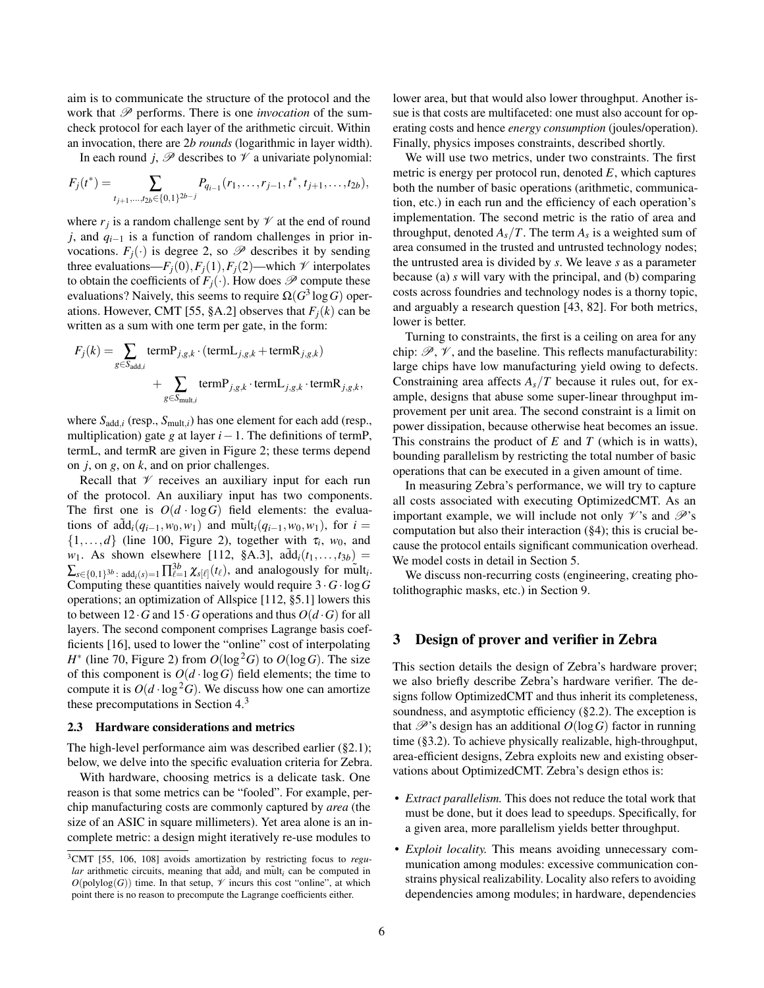aim is to communicate the structure of the protocol and the work that  $P$  performs. There is one *invocation* of the sumcheck protocol for each layer of the arithmetic circuit. Within an invocation, there are 2*b rounds* (logarithmic in layer width).

In each round *j*,  $\mathscr P$  describes to  $\mathscr V$  a univariate polynomial:

$$
F_j(t^*) = \sum_{t_{j+1},\ldots,t_{2b} \in \{0,1\}^{2b-j}} P_{q_{i-1}}(r_1,\ldots,r_{j-1},t^*,t_{j+1},\ldots,t_{2b}),
$$

where  $r_j$  is a random challenge sent by  $\mathcal V$  at the end of round *j*, and *q*<sub>*i*−1</sub> is a function of random challenges in prior invocations.  $F_i(\cdot)$  is degree 2, so  $\mathscr P$  describes it by sending three evaluations— $F_i(0), F_i(1), F_i(2)$ —which  $\mathcal V$  interpolates to obtain the coefficients of  $F_i(\cdot)$ . How does  $\mathscr P$  compute these evaluations? Naively, this seems to require  $\Omega(G^3 \log G)$  oper-ations. However, CMT [\[55,](#page-18-23) §A.2] observes that  $F_i(k)$  can be written as a sum with one term per gate, in the form:

$$
F_j(k) = \sum_{g \in S_{\text{add},i}} \text{termP}_{j,g,k} \cdot (\text{termL}_{j,g,k} + \text{termR}_{j,g,k}) \\ + \sum_{g \in S_{\text{mult},i}} \text{termP}_{j,g,k} \cdot \text{termL}_{j,g,k} \cdot \text{termR}_{j,g,k},
$$

where  $S_{add,i}$  (resp.,  $S_{mult,i}$ ) has one element for each add (resp., multiplication) gate *g* at layer *i*−1. The definitions of termP, termL, and termR are given in Figure [2;](#page-4-0) these terms depend on *j*, on *g*, on *k*, and on prior challenges.

Recall that  $\mathcal V$  receives an auxiliary input for each run of the protocol. An auxiliary input has two components. The first one is  $O(d \cdot \log G)$  field elements: the evaluations of  $\tilde{\text{add}}_i(q_{i-1}, w_0, w_1)$  and  $\tilde{\text{mult}}_i(q_{i-1}, w_0, w_1)$ , for  $i =$  $\{1,\ldots,d\}$  (line [100,](#page-4-0) Figure [2\)](#page-4-0), together with  $\tau_i$ ,  $w_0$ , and *w*<sub>1</sub>. As shown elsewhere [\[112,](#page-19-20) §A.3],  $a\tilde{d}d_i(t_1,...,t_{3b}) =$  $\sum_{s \in \{0,1\}^{3b} : \text{add}_i(s) = 1} \prod_{\ell=1}^{3b} \chi_{s[\ell]}(t_\ell)$ , and analogously for mult<sub>i</sub>. Computing these quantities naively would require 3 ·*G*·log*G* operations; an optimization of Allspice [\[112,](#page-19-20) §5.1] lowers this to between 12  $\cdot$  *G* and 15  $\cdot$  *G* operations and thus  $O(d \cdot G)$  for all layers. The second component comprises Lagrange basis coefficients [\[16\]](#page-17-8), used to lower the "online" cost of interpolating  $H^*$  (line [70,](#page-4-0) Figure [2\)](#page-4-0) from  $O(\log^2 G)$  to  $O(\log G)$ . The size of this component is  $O(d \cdot \log G)$  field elements; the time to compute it is  $O(d \cdot \log^2 G)$ . We discuss how one can amortize these precomputations in Section [4.](#page-8-0)<sup>3</sup>

### <span id="page-5-1"></span>2.3 Hardware considerations and metrics

The high-level performance aim was described earlier ([§2.1\)](#page-2-0); below, we delve into the specific evaluation criteria for Zebra.

With hardware, choosing metrics is a delicate task. One reason is that some metrics can be "fooled". For example, perchip manufacturing costs are commonly captured by *area* (the size of an ASIC in square millimeters). Yet area alone is an incomplete metric: a design might iteratively re-use modules to

lower area, but that would also lower throughput. Another issue is that costs are multifaceted: one must also account for operating costs and hence *energy consumption* (joules/operation). Finally, physics imposes constraints, described shortly.

We will use two metrics, under two constraints. The first metric is energy per protocol run, denoted *E*, which captures both the number of basic operations (arithmetic, communication, etc.) in each run and the efficiency of each operation's implementation. The second metric is the ratio of area and throughput, denoted  $A_s/T$ . The term  $A_s$  is a weighted sum of area consumed in the trusted and untrusted technology nodes; the untrusted area is divided by *s*. We leave *s* as a parameter because (a) *s* will vary with the principal, and (b) comparing costs across foundries and technology nodes is a thorny topic, and arguably a research question [\[43,](#page-18-32) [82\]](#page-19-27). For both metrics, lower is better.

Turning to constraints, the first is a ceiling on area for any chip:  $\mathscr{P}, \mathscr{V}$ , and the baseline. This reflects manufacturability: large chips have low manufacturing yield owing to defects. Constraining area affects  $A_s/T$  because it rules out, for example, designs that abuse some super-linear throughput improvement per unit area. The second constraint is a limit on power dissipation, because otherwise heat becomes an issue. This constrains the product of *E* and *T* (which is in watts), bounding parallelism by restricting the total number of basic operations that can be executed in a given amount of time.

In measuring Zebra's performance, we will try to capture all costs associated with executing OptimizedCMT. As an important example, we will include not only  $\mathcal{V}$ 's and  $\mathcal{P}$ 's computation but also their interaction ([§4\)](#page-8-0); this is crucial because the protocol entails significant communication overhead. We model costs in detail in Section [5.](#page-9-0)

We discuss non-recurring costs (engineering, creating photolithographic masks, etc.) in Section [9.](#page-15-0)

# <span id="page-5-0"></span>3 Design of prover and verifier in Zebra

This section details the design of Zebra's hardware prover; we also briefly describe Zebra's hardware verifier. The designs follow OptimizedCMT and thus inherit its completeness, soundness, and asymptotic efficiency ([§2.2\)](#page-2-1). The exception is that  $\mathscr{P}'$ 's design has an additional  $O(\log G)$  factor in running time ([§3.2\)](#page-7-0). To achieve physically realizable, high-throughput, area-efficient designs, Zebra exploits new and existing observations about OptimizedCMT. Zebra's design ethos is:

- *Extract parallelism.* This does not reduce the total work that must be done, but it does lead to speedups. Specifically, for a given area, more parallelism yields better throughput.
- *Exploit locality.* This means avoiding unnecessary communication among modules: excessive communication constrains physical realizability. Locality also refers to avoiding dependencies among modules; in hardware, dependencies

<sup>3</sup>CMT [\[55,](#page-18-23) [106,](#page-19-18) [108\]](#page-19-19) avoids amortization by restricting focus to *regu* $lar$  arithmetic circuits, meaning that  $a\bar{d}d_i$  and mult<sub>i</sub> can be computed in  $O(polylog(G))$  time. In that setup,  $\mathscr V$  incurs this cost "online", at which point there is no reason to precompute the Lagrange coefficients either.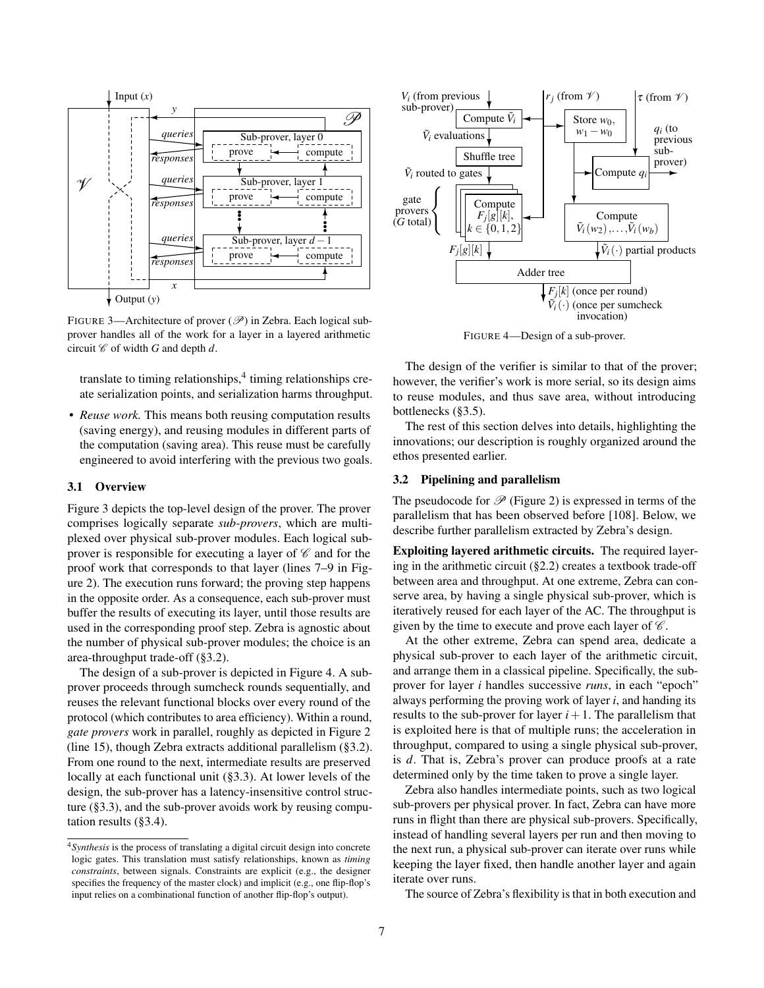<span id="page-6-0"></span>

FIGURE 3—Architecture of prover  $(\mathscr{P})$  in Zebra. Each logical subprover handles all of the work for a layer in a layered arithmetic circuit  $\mathscr C$  of width  $G$  and depth  $d$ .

translate to timing relationships,<sup>4</sup> timing relationships create serialization points, and serialization harms throughput.

• *Reuse work.* This means both reusing computation results (saving energy), and reusing modules in different parts of the computation (saving area). This reuse must be carefully engineered to avoid interfering with the previous two goals.

## <span id="page-6-3"></span>3.1 Overview

Figure [3](#page-6-0) depicts the top-level design of the prover. The prover comprises logically separate *sub-provers*, which are multiplexed over physical sub-prover modules. Each logical subprover is responsible for executing a layer of  $\mathscr C$  and for the proof work that corresponds to that layer (lines [7–9](#page-4-0) in Figure [2\)](#page-4-0). The execution runs forward; the proving step happens in the opposite order. As a consequence, each sub-prover must buffer the results of executing its layer, until those results are used in the corresponding proof step. Zebra is agnostic about the number of physical sub-prover modules; the choice is an area-throughput trade-off ([§3.2\)](#page-6-1).

The design of a sub-prover is depicted in Figure [4.](#page-6-2) A subprover proceeds through sumcheck rounds sequentially, and reuses the relevant functional blocks over every round of the protocol (which contributes to area efficiency). Within a round, *gate provers* work in parallel, roughly as depicted in Figure [2](#page-4-0) (line [15\)](#page-4-0), though Zebra extracts additional parallelism ([§3.2\)](#page-6-1). From one round to the next, intermediate results are preserved locally at each functional unit ([§3.3\)](#page-7-1). At lower levels of the design, the sub-prover has a latency-insensitive control structure ([§3.3\)](#page-7-1), and the sub-prover avoids work by reusing computation results ([§3.4\)](#page-8-1).

<span id="page-6-2"></span>

FIGURE 4—Design of a sub-prover.

The design of the verifier is similar to that of the prover; however, the verifier's work is more serial, so its design aims to reuse modules, and thus save area, without introducing bottlenecks ([§3.5\)](#page-8-2).

The rest of this section delves into details, highlighting the innovations; our description is roughly organized around the ethos presented earlier.

## <span id="page-6-1"></span>3.2 Pipelining and parallelism

The pseudocode for  $\mathscr P$  (Figure [2\)](#page-4-0) is expressed in terms of the parallelism that has been observed before [\[108\]](#page-19-19). Below, we describe further parallelism extracted by Zebra's design.

Exploiting layered arithmetic circuits. The required layering in the arithmetic circuit ([§2.2\)](#page-2-1) creates a textbook trade-off between area and throughput. At one extreme, Zebra can conserve area, by having a single physical sub-prover, which is iteratively reused for each layer of the AC. The throughput is given by the time to execute and prove each layer of  $\mathscr{C}$ .

At the other extreme, Zebra can spend area, dedicate a physical sub-prover to each layer of the arithmetic circuit, and arrange them in a classical pipeline. Specifically, the subprover for layer *i* handles successive *runs*, in each "epoch" always performing the proving work of layer *i*, and handing its results to the sub-prover for layer  $i+1$ . The parallelism that is exploited here is that of multiple runs; the acceleration in throughput, compared to using a single physical sub-prover, is *d*. That is, Zebra's prover can produce proofs at a rate determined only by the time taken to prove a single layer.

Zebra also handles intermediate points, such as two logical sub-provers per physical prover. In fact, Zebra can have more runs in flight than there are physical sub-provers. Specifically, instead of handling several layers per run and then moving to the next run, a physical sub-prover can iterate over runs while keeping the layer fixed, then handle another layer and again iterate over runs.

The source of Zebra's flexibility is that in both execution and

<sup>4</sup>*Synthesis* is the process of translating a digital circuit design into concrete logic gates. This translation must satisfy relationships, known as *timing constraints*, between signals. Constraints are explicit (e.g., the designer specifies the frequency of the master clock) and implicit (e.g., one flip-flop's input relies on a combinational function of another flip-flop's output).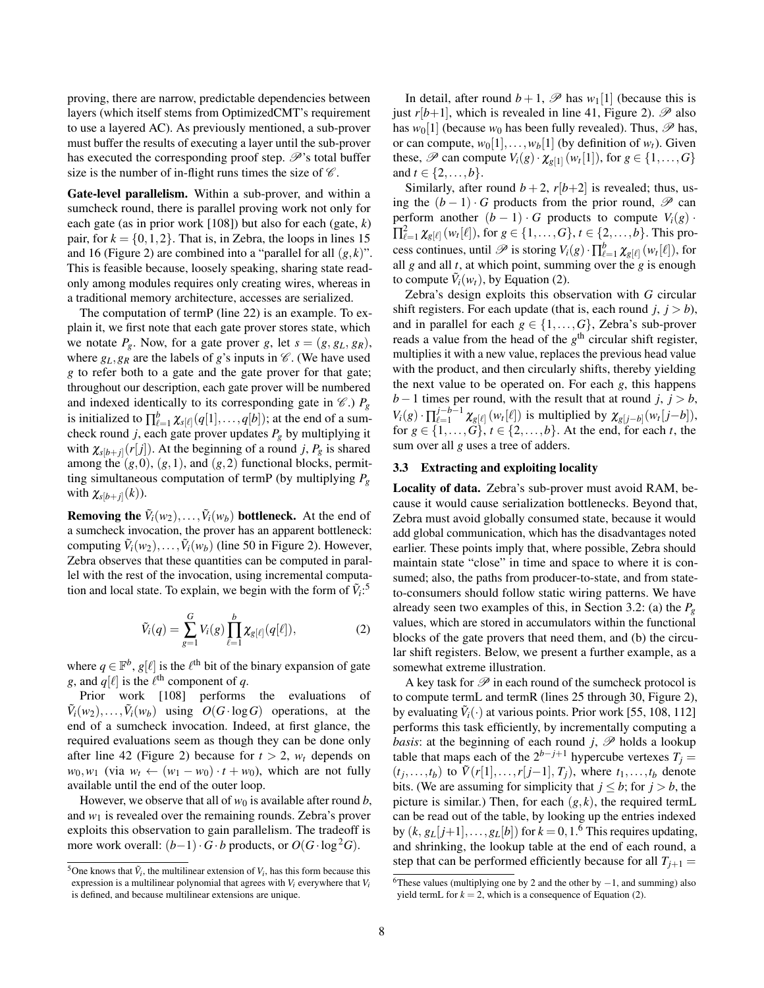proving, there are narrow, predictable dependencies between layers (which itself stems from OptimizedCMT's requirement to use a layered AC). As previously mentioned, a sub-prover must buffer the results of executing a layer until the sub-prover has executed the corresponding proof step.  $\mathscr{P}'$ 's total buffer size is the number of in-flight runs times the size of  $\mathscr C$ .

<span id="page-7-0"></span>Gate-level parallelism. Within a sub-prover, and within a sumcheck round, there is parallel proving work not only for each gate (as in prior work [\[108\]](#page-19-19)) but also for each (gate, *k*) pair, for  $k = \{0, 1, 2\}$ . That is, in Zebra, the loops in lines [15](#page-4-0) and [16](#page-4-0) (Figure [2\)](#page-4-0) are combined into a "parallel for all  $(g, k)$ ". This is feasible because, loosely speaking, sharing state readonly among modules requires only creating wires, whereas in a traditional memory architecture, accesses are serialized.

The computation of termP (line [22\)](#page-4-0) is an example. To explain it, we first note that each gate prover stores state, which we notate  $P_g$ . Now, for a gate prover *g*, let  $s = (g, g_L, g_R)$ , where  $g_L$ ,  $g_R$  are the labels of *g*'s inputs in  $\mathcal C$ . (We have used *g* to refer both to a gate and the gate prover for that gate; throughout our description, each gate prover will be numbered and indexed identically to its corresponding gate in  $\mathcal{C}$ .)  $P_g$ is initialized to  $\prod_{\ell=1}^b \chi_{s[\ell]}(q[1],\ldots,q[b])$ ; at the end of a sumcheck round *j*, each gate prover updates  $P_g$  by multiplying it with  $\chi_{s[b+j]}(r[j])$ . At the beginning of a round *j*,  $P_g$  is shared among the  $(g,0)$ ,  $(g,1)$ , and  $(g,2)$  functional blocks, permitting simultaneous computation of termP (by multiplying *P<sup>g</sup>* with  $\chi_{s[b+j]}(k)$ ).

**Removing the**  $\tilde{V}_i(w_2), \ldots, \tilde{V}_i(w_b)$  bottleneck. At the end of a sumcheck invocation, the prover has an apparent bottleneck: computing  $\tilde{V}_i(w_2), \ldots, \tilde{V}_i(w_b)$  (line [50](#page-4-0) in Figure [2\)](#page-4-0). However, Zebra observes that these quantities can be computed in parallel with the rest of the invocation, using incremental computation and local state. To explain, we begin with the form of  $\tilde{V}_i$ :<sup>5</sup>

$$
\tilde{V}_i(q) = \sum_{g=1}^{G} V_i(g) \prod_{\ell=1}^{b} \chi_{g[\ell]}(q[\ell]),
$$
\n(2)

<span id="page-7-2"></span>where  $q \in \mathbb{F}^b$ ,  $g[\ell]$  is the  $\ell^{\text{th}}$  bit of the binary expansion of gate *g*, and  $q[\ell]$  is the  $\ell^{\text{th}}$  component of *q*.

Prior work [\[108\]](#page-19-19) performs the evaluations of  $\tilde{V}_i(w_2), \ldots, \tilde{V}_i(w_b)$  using  $O(G \cdot \log G)$  operations, at the end of a sumcheck invocation. Indeed, at first glance, the required evaluations seem as though they can be done only after line [42](#page-4-0) (Figure [2\)](#page-4-0) because for  $t > 2$ ,  $w_t$  depends on  $w_0, w_1$  (via  $w_t \leftarrow (w_1 - w_0) \cdot t + w_0$ ), which are not fully available until the end of the outer loop.

However, we observe that all of  $w_0$  is available after round *b*, and  $w_1$  is revealed over the remaining rounds. Zebra's prover exploits this observation to gain parallelism. The tradeoff is more work overall:  $(b-1) \cdot G \cdot b$  products, or  $O(G \cdot \log^2 G)$ .

In detail, after round  $b+1$ ,  $\mathscr P$  has  $w_1[1]$  (because this is just  $r[b+1]$ , which is revealed in line [41,](#page-4-0) Figure [2\)](#page-4-0).  $\mathscr{P}$  also has  $w_0[1]$  (because  $w_0$  has been fully revealed). Thus,  $\mathscr P$  has, or can compute,  $w_0[1], \ldots, w_b[1]$  (by definition of  $w_t$ ). Given these,  $\mathscr{P}$  can compute  $V_i(g) \cdot \chi_{g[1]}(w_t[1])$ , for  $g \in \{1, ..., G\}$ and  $t \in \{2, ..., b\}$ .

Similarly, after round  $b + 2$ ,  $r[b+2]$  is revealed; thus, using the  $(b-1) \cdot G$  products from the prior round,  $\mathscr P$  can perform another  $(b - 1) \cdot G$  products to compute  $V_i(g) \cdot G$  $\prod_{\ell=1}^2 \chi_{g[\ell]}(w_t[\ell]),$  for  $g\in\{1,\ldots,G\},$   $t\in\{2,\ldots,b\}.$  This process continues, until  $\mathscr P$  is storing  $V_i(g) \cdot \prod_{\ell=1}^b \chi_{g[\ell]}(w_t[\ell])$ , for all *g* and all *t*, at which point, summing over the *g* is enough to compute  $\tilde{V}_i(w_t)$ , by Equation [\(2\)](#page-7-2).

Zebra's design exploits this observation with *G* circular shift registers. For each update (that is, each round  $j, j > b$ ), and in parallel for each  $g \in \{1, ..., G\}$ , Zebra's sub-prover reads a value from the head of the *g*<sup>th</sup> circular shift register, multiplies it with a new value, replaces the previous head value with the product, and then circularly shifts, thereby yielding the next value to be operated on. For each *g*, this happens *b*−1 times per round, with the result that at round *j*, *j* > *b*,  $V_i(g) \cdot \prod_{\ell=1}^{j-b-1}$  $\chi_{g[\ell]}(w_t[\ell])$  is multiplied by  $\chi_{g[j-b]}(w_t[j-b]),$ for  $g \in \{1, ..., G\}$ ,  $t \in \{2, ..., b\}$ . At the end, for each *t*, the sum over all *g* uses a tree of adders.

### <span id="page-7-1"></span>3.3 Extracting and exploiting locality

<span id="page-7-3"></span>Locality of data. Zebra's sub-prover must avoid RAM, because it would cause serialization bottlenecks. Beyond that, Zebra must avoid globally consumed state, because it would add global communication, which has the disadvantages noted earlier. These points imply that, where possible, Zebra should maintain state "close" in time and space to where it is consumed; also, the paths from producer-to-state, and from stateto-consumers should follow static wiring patterns. We have already seen two examples of this, in Section [3.2:](#page-6-1) (a) the *P<sup>g</sup>* values, which are stored in accumulators within the functional blocks of the gate provers that need them, and (b) the circular shift registers. Below, we present a further example, as a somewhat extreme illustration.

A key task for  $\mathscr P$  in each round of the sumcheck protocol is to compute termL and termR (lines [25](#page-4-0) through [30,](#page-4-0) Figure [2\)](#page-4-0), by evaluating  $\tilde{V}_i(\cdot)$  at various points. Prior work [\[55,](#page-18-23) [108,](#page-19-19) [112\]](#page-19-20) performs this task efficiently, by incrementally computing a *basis*: at the beginning of each round *j*,  $\mathscr P$  holds a lookup table that maps each of the  $2^{b-j+1}$  hypercube vertexes  $T_j =$  $(\tau_j, \ldots, \tau_b)$  to  $\tilde{V}(r[1], \ldots, r[j-1], T_j)$ , where  $t_1, \ldots, t_b$  denote bits. (We are assuming for simplicity that  $j \leq b$ ; for  $j > b$ , the picture is similar.) Then, for each  $(g, k)$ , the required termL can be read out of the table, by looking up the entries indexed by  $(k, g_L[j+1], \ldots, g_L[b])$  for  $k = 0, 1.6$  This requires updating, and shrinking, the lookup table at the end of each round, a step that can be performed efficiently because for all  $T_{i+1}$  =

<sup>&</sup>lt;sup>5</sup>One knows that  $\tilde{V}_i$ , the multilinear extension of  $V_i$ , has this form because this expression is a multilinear polynomial that agrees with *V<sup>i</sup>* everywhere that *V<sup>i</sup>* is defined, and because multilinear extensions are unique.

<sup>&</sup>lt;sup>6</sup>These values (multiplying one by 2 and the other by  $-1$ , and summing) also yield termL for  $k = 2$ , which is a consequence of Equation [\(2\)](#page-7-2).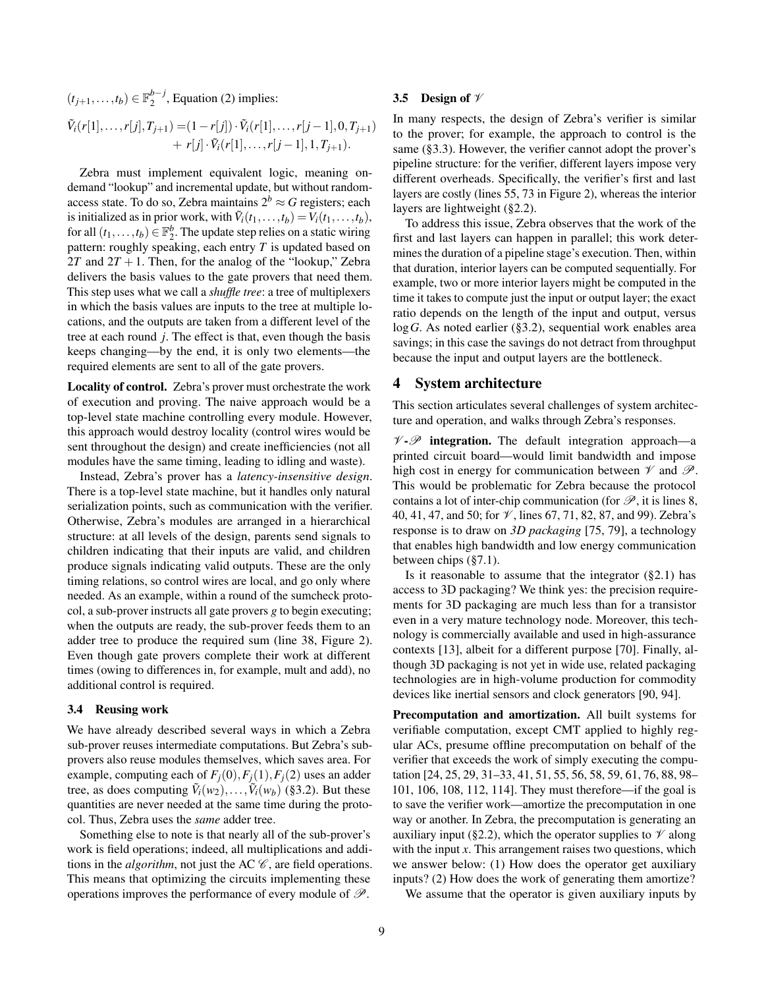$(t_{j+1},...,t_b) \in \mathbb{F}_2^{b-j}$  $_{2}^{p-J}$ , Equation [\(2\)](#page-7-2) implies:

$$
\tilde{V}_i(r[1],\ldots,r[j],T_{j+1}) = (1 - r[j]) \cdot \tilde{V}_i(r[1],\ldots,r[j-1],0,T_{j+1}) + r[j] \cdot \tilde{V}_i(r[1],\ldots,r[j-1],1,T_{j+1}).
$$

Zebra must implement equivalent logic, meaning ondemand "lookup" and incremental update, but without randomaccess state. To do so, Zebra maintains  $2^b \approx G$  registers; each is initialized as in prior work, with  $\tilde{V}_i(t_1,...,t_b) = V_i(t_1,...,t_b)$ , for all  $(t_1,...,t_b) \in \mathbb{F}_2^b$ . The update step relies on a static wiring pattern: roughly speaking, each entry *T* is updated based on 2*T* and  $2T + 1$ . Then, for the analog of the "lookup," Zebra delivers the basis values to the gate provers that need them. This step uses what we call a *shuffle tree*: a tree of multiplexers in which the basis values are inputs to the tree at multiple locations, and the outputs are taken from a different level of the tree at each round *j*. The effect is that, even though the basis keeps changing—by the end, it is only two elements—the required elements are sent to all of the gate provers.

Locality of control. Zebra's prover must orchestrate the work of execution and proving. The naive approach would be a top-level state machine controlling every module. However, this approach would destroy locality (control wires would be sent throughout the design) and create inefficiencies (not all modules have the same timing, leading to idling and waste).

Instead, Zebra's prover has a *latency-insensitive design*. There is a top-level state machine, but it handles only natural serialization points, such as communication with the verifier. Otherwise, Zebra's modules are arranged in a hierarchical structure: at all levels of the design, parents send signals to children indicating that their inputs are valid, and children produce signals indicating valid outputs. These are the only timing relations, so control wires are local, and go only where needed. As an example, within a round of the sumcheck protocol, a sub-prover instructs all gate provers *g* to begin executing; when the outputs are ready, the sub-prover feeds them to an adder tree to produce the required sum (line [38,](#page-4-0) Figure [2\)](#page-4-0). Even though gate provers complete their work at different times (owing to differences in, for example, mult and add), no additional control is required.

### <span id="page-8-1"></span>3.4 Reusing work

We have already described several ways in which a Zebra sub-prover reuses intermediate computations. But Zebra's subprovers also reuse modules themselves, which saves area. For example, computing each of  $F_i(0)$ ,  $F_i(1)$ ,  $F_i(2)$  uses an adder tree, as does computing  $\tilde{V}_i(w_2), \ldots, \tilde{V}_i(w_b)$  ([§3.2\)](#page-7-0). But these quantities are never needed at the same time during the protocol. Thus, Zebra uses the *same* adder tree.

Something else to note is that nearly all of the sub-prover's work is field operations; indeed, all multiplications and additions in the *algorithm*, not just the AC  $\mathscr{C}$ , are field operations. This means that optimizing the circuits implementing these operations improves the performance of every module of  $\mathscr{P}$ .

### <span id="page-8-2"></span>3.5 Design of  $\mathscr V$

In many respects, the design of Zebra's verifier is similar to the prover; for example, the approach to control is the same ([§3.3\)](#page-7-3). However, the verifier cannot adopt the prover's pipeline structure: for the verifier, different layers impose very different overheads. Specifically, the verifier's first and last layers are costly (lines [55, 73](#page-4-0) in Figure [2\)](#page-4-0), whereas the interior layers are lightweight ([§2.2\)](#page-2-1).

To address this issue, Zebra observes that the work of the first and last layers can happen in parallel; this work determines the duration of a pipeline stage's execution. Then, within that duration, interior layers can be computed sequentially. For example, two or more interior layers might be computed in the time it takes to compute just the input or output layer; the exact ratio depends on the length of the input and output, versus log*G*. As noted earlier ([§3.2\)](#page-6-1), sequential work enables area savings; in this case the savings do not detract from throughput because the input and output layers are the bottleneck.

# <span id="page-8-0"></span>4 System architecture

This section articulates several challenges of system architecture and operation, and walks through Zebra's responses.

 $V \cdot \mathscr{P}$  integration. The default integration approach—a printed circuit board—would limit bandwidth and impose high cost in energy for communication between  $\mathcal V$  and  $\mathcal P$ . This would be problematic for Zebra because the protocol contains a lot of inter-chip communication (for  $\mathscr{P}$ , it is lines [8,](#page-4-0) [40, 41, 47,](#page-4-0) and [50;](#page-4-0) for  $\mathcal V$ , lines [67, 71, 82, 87,](#page-4-0) and [99\)](#page-4-0). Zebra's response is to draw on *3D packaging* [\[75,](#page-19-28) [79\]](#page-19-29), a technology that enables high bandwidth and low energy communication between chips ([§7.1\)](#page-11-0).

Is it reasonable to assume that the integrator  $(\S 2.1)$  has access to 3D packaging? We think yes: the precision requirements for 3D packaging are much less than for a transistor even in a very mature technology node. Moreover, this technology is commercially available and used in high-assurance contexts [\[13\]](#page-17-9), albeit for a different purpose [\[70\]](#page-18-6). Finally, although 3D packaging is not yet in wide use, related packaging technologies are in high-volume production for commodity devices like inertial sensors and clock generators [\[90,](#page-19-30) [94\]](#page-19-31).

Precomputation and amortization. All built systems for verifiable computation, except CMT applied to highly regular ACs, presume offline precomputation on behalf of the verifier that exceeds the work of simply executing the computation [\[24,](#page-18-16) [25,](#page-18-17) [29,](#page-18-18) [31–](#page-18-19)[33,](#page-18-20) [41,](#page-18-21) [51,](#page-18-22) [55,](#page-18-23) [56,](#page-18-24) [58,](#page-18-25) [59,](#page-18-26) [61,](#page-18-27) [76,](#page-19-14) [88,](#page-19-15) [98–](#page-19-16) [101,](#page-19-17) [106,](#page-19-18) [108,](#page-19-19) [112,](#page-19-20) [114\]](#page-19-21). They must therefore—if the goal is to save the verifier work—amortize the precomputation in one way or another. In Zebra, the precomputation is generating an auxiliary input ([§2.2\)](#page-2-1), which the operator supplies to  $\mathcal V$  along with the input *x*. This arrangement raises two questions, which we answer below: (1) How does the operator get auxiliary inputs? (2) How does the work of generating them amortize?

We assume that the operator is given auxiliary inputs by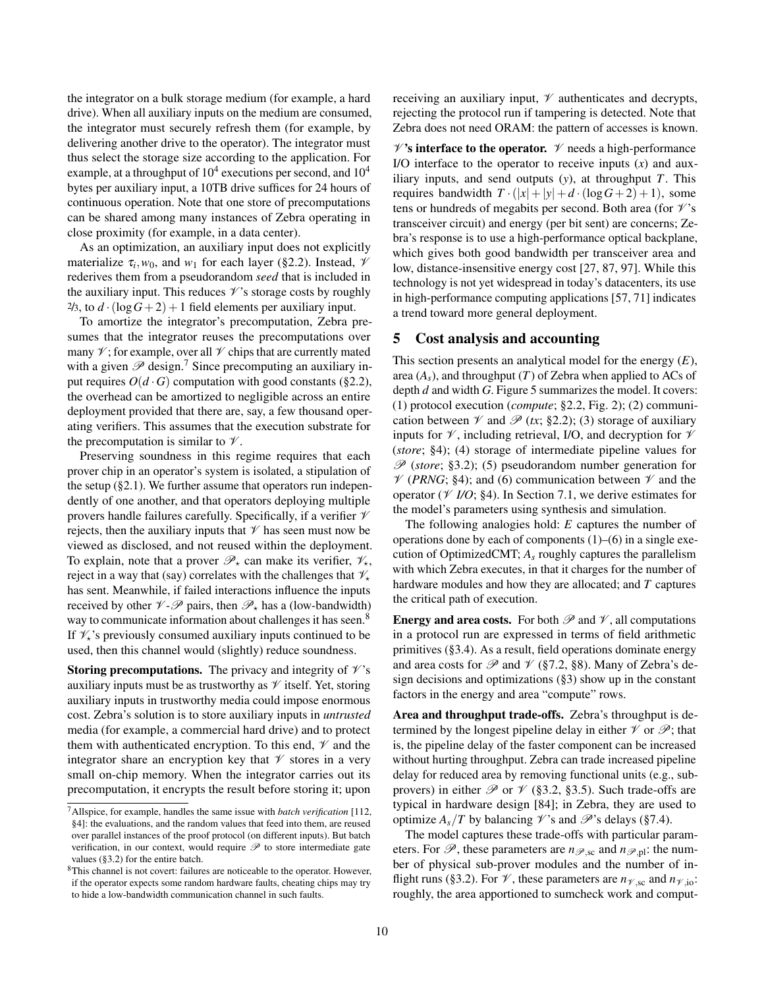the integrator on a bulk storage medium (for example, a hard drive). When all auxiliary inputs on the medium are consumed, the integrator must securely refresh them (for example, by delivering another drive to the operator). The integrator must thus select the storage size according to the application. For example, at a throughput of  $10^4$  executions per second, and  $10^4$ bytes per auxiliary input, a 10TB drive suffices for 24 hours of continuous operation. Note that one store of precomputations can be shared among many instances of Zebra operating in close proximity (for example, in a data center).

As an optimization, an auxiliary input does not explicitly materialize  $\tau_i$ ,  $w_0$ , and  $w_1$  for each layer ([§2.2\)](#page-2-1). Instead,  $\mathcal V$ rederives them from a pseudorandom *seed* that is included in the auxiliary input. This reduces  $\mathcal{V}$ 's storage costs by roughly  $2/3$ , to  $d \cdot (\log G + 2) + 1$  field elements per auxiliary input.

To amortize the integrator's precomputation, Zebra presumes that the integrator reuses the precomputations over many  $\mathcal V$ ; for example, over all  $\mathcal V$  chips that are currently mated with a given  $\mathscr P$  design.<sup>7</sup> Since precomputing an auxiliary input requires  $O(d \cdot G)$  computation with good constants ([§2.2\)](#page-2-1), the overhead can be amortized to negligible across an entire deployment provided that there are, say, a few thousand operating verifiers. This assumes that the execution substrate for the precomputation is similar to  $\mathcal V$ .

Preserving soundness in this regime requires that each prover chip in an operator's system is isolated, a stipulation of the setup ([§2.1\)](#page-2-0). We further assume that operators run independently of one another, and that operators deploying multiple provers handle failures carefully. Specifically, if a verifier  $\mathcal V$ rejects, then the auxiliary inputs that  $\mathcal V$  has seen must now be viewed as disclosed, and not reused within the deployment. To explain, note that a prover  $\mathscr{P}_{\star}$  can make its verifier,  $\mathscr{V}_{\star}$ , reject in a way that (say) correlates with the challenges that  $\mathcal{V}_{\star}$ has sent. Meanwhile, if failed interactions influence the inputs received by other  $\mathcal{V}$ - $\mathcal{P}$  pairs, then  $\mathcal{P}_{\star}$  has a (low-bandwidth) way to communicate information about challenges it has seen.<sup>8</sup> If  $\mathcal{V}_*$ 's previously consumed auxiliary inputs continued to be used, then this channel would (slightly) reduce soundness.

**Storing precomputations.** The privacy and integrity of  $\mathcal{V}$ 's auxiliary inputs must be as trustworthy as  $\mathcal V$  itself. Yet, storing auxiliary inputs in trustworthy media could impose enormous cost. Zebra's solution is to store auxiliary inputs in *untrusted* media (for example, a commercial hard drive) and to protect them with authenticated encryption. To this end,  $\mathcal V$  and the integrator share an encryption key that  $\mathcal V$  stores in a very small on-chip memory. When the integrator carries out its precomputation, it encrypts the result before storing it; upon receiving an auxiliary input,  $\mathcal V$  authenticates and decrypts, rejecting the protocol run if tampering is detected. Note that Zebra does not need ORAM: the pattern of accesses is known.

 $\mathscr{V}'$ 's interface to the operator.  $\mathscr{V}$  needs a high-performance I/O interface to the operator to receive inputs (*x*) and auxiliary inputs, and send outputs (*y*), at throughput *T*. This requires bandwidth  $T \cdot (|x|+|y|+d \cdot (\log G+2)+1)$ , some tens or hundreds of megabits per second. Both area (for  $\mathcal{V}$ 's transceiver circuit) and energy (per bit sent) are concerns; Zebra's response is to use a high-performance optical backplane, which gives both good bandwidth per transceiver area and low, distance-insensitive energy cost [\[27,](#page-18-33) [87,](#page-19-32) [97\]](#page-19-33). While this technology is not yet widespread in today's datacenters, its use in high-performance computing applications [\[57,](#page-18-34) [71\]](#page-18-35) indicates a trend toward more general deployment.

# <span id="page-9-0"></span>5 Cost analysis and accounting

This section presents an analytical model for the energy (*E*), area  $(A_s)$ , and throughput  $(T)$  of Zebra when applied to ACs of depth *d* and width *G*. Figure [5](#page-10-2) summarizes the model. It covers: (1) protocol execution (*compute*; [§2.2,](#page-2-1) Fig. [2\)](#page-4-0); (2) communication between  $\mathcal V$  and  $\mathcal P$  (*tx*; [§2.2\)](#page-2-1); (3) storage of auxiliary inputs for  $\mathcal V$ , including retrieval, I/O, and decryption for  $\mathcal V$ (*store*; [§4\)](#page-8-0); (4) storage of intermediate pipeline values for P (*store*; [§3.2\)](#page-6-1); (5) pseudorandom number generation for  $\mathcal V$  (*PRNG*; [§4\)](#page-8-0); and (6) communication between  $\mathcal V$  and the operator ( $\mathcal V$  *I/O*; [§4\)](#page-8-0). In Section [7.1,](#page-11-0) we derive estimates for the model's parameters using synthesis and simulation.

The following analogies hold: *E* captures the number of operations done by each of components (1)–(6) in a single execution of OptimizedCMT; *A<sup>s</sup>* roughly captures the parallelism with which Zebra executes, in that it charges for the number of hardware modules and how they are allocated; and *T* captures the critical path of execution.

**Energy and area costs.** For both  $\mathcal{P}$  and  $\mathcal{V}$ , all computations in a protocol run are expressed in terms of field arithmetic primitives ([§3.4\)](#page-8-1). As a result, field operations dominate energy and area costs for  $\mathscr P$  and  $\mathscr V$  ([§7.2,](#page-11-1) [§8\)](#page-13-1). Many of Zebra's design decisions and optimizations ([§3\)](#page-5-0) show up in the constant factors in the energy and area "compute" rows.

Area and throughput trade-offs. Zebra's throughput is determined by the longest pipeline delay in either  $\mathcal V$  or  $\mathcal P$ ; that is, the pipeline delay of the faster component can be increased without hurting throughput. Zebra can trade increased pipeline delay for reduced area by removing functional units (e.g., subprovers) in either  $\mathcal P$  or  $\mathcal V$  ([§3.2,](#page-6-1) [§3.5\)](#page-8-2). Such trade-offs are typical in hardware design [\[84\]](#page-19-34); in Zebra, they are used to optimize  $A_s/T$  by balancing  $\mathscr V$ 's and  $\mathscr P$ 's delays ([§7.4\)](#page-12-0).

The model captures these trade-offs with particular parameters. For  $\mathscr{P}$ , these parameters are  $n_{\mathscr{P}$ ,sc and  $n_{\mathscr{P},pl}$ : the number of physical sub-prover modules and the number of in-flight runs ([§3.2\)](#page-6-1). For  $\mathcal{V}$ , these parameters are  $n_{\mathcal{V}$ , sc and  $n_{\mathcal{V}}$ , jo: roughly, the area apportioned to sumcheck work and comput-

<sup>7</sup>Allspice, for example, handles the same issue with *batch verification* [\[112,](#page-19-20) §4]: the evaluations, and the random values that feed into them, are reused over parallel instances of the proof protocol (on different inputs). But batch verification, in our context, would require  $\mathscr P$  to store intermediate gate values ([§3.2\)](#page-6-1) for the entire batch.

 $8$ This channel is not covert: failures are noticeable to the operator. However, if the operator expects some random hardware faults, cheating chips may try to hide a low-bandwidth communication channel in such faults.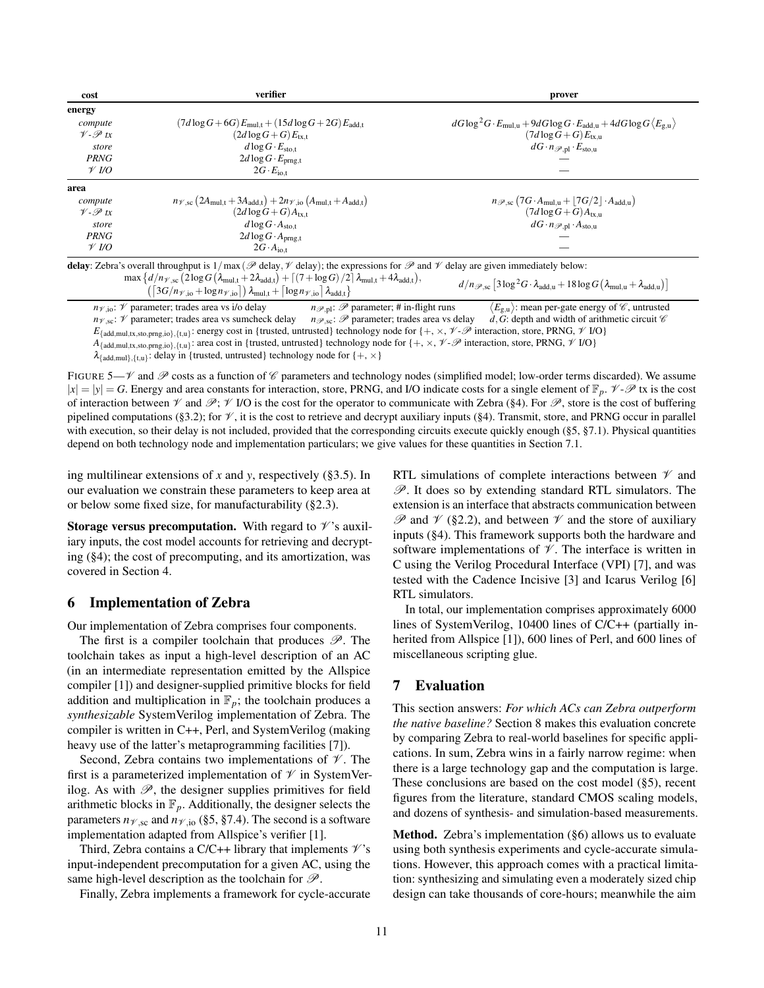<span id="page-10-2"></span>

| cost                 | verifier                                                                                                                                                                                                                                                                                                                                                                                              | prover                                                                                                               |
|----------------------|-------------------------------------------------------------------------------------------------------------------------------------------------------------------------------------------------------------------------------------------------------------------------------------------------------------------------------------------------------------------------------------------------------|----------------------------------------------------------------------------------------------------------------------|
| energy               |                                                                                                                                                                                                                                                                                                                                                                                                       |                                                                                                                      |
| compute              | $(7d \log G + 6G) E_{\text{mul,t}} + (15d \log G + 2G) E_{\text{add,t}}$                                                                                                                                                                                                                                                                                                                              | $dG \log^2 G \cdot E_{\text{mul,u}} + 9dG \log G \cdot E_{\text{add,u}} + 4dG \log G \langle E_{\text{g,u}} \rangle$ |
| $V - \mathscr{P}$ tx | $(2d \log G + G)E_{\text{tx.t}}$                                                                                                                                                                                                                                                                                                                                                                      | $(7d \log G + G) E_{\text{tx.n}}$                                                                                    |
| store                | $d \log G \cdot E_{\text{sto,t}}$                                                                                                                                                                                                                                                                                                                                                                     | $dG \cdot n_{\mathscr{P},\text{pl}} \cdot E_{\text{sto},\text{u}}$                                                   |
| <b>PRNG</b>          | $2d \log G \cdot E_{\text{prng,t}}$                                                                                                                                                                                                                                                                                                                                                                   |                                                                                                                      |
| $\mathcal V$ I/O     | $2G \cdot E_{\text{io,t}}$                                                                                                                                                                                                                                                                                                                                                                            |                                                                                                                      |
| area                 |                                                                                                                                                                                                                                                                                                                                                                                                       |                                                                                                                      |
| compute              | $n_{\mathcal{V},sc}$ (2A <sub>mul,t</sub> + 3A <sub>add,t</sub> ) + 2 $n_{\mathcal{V},io}$ (A <sub>mul,t</sub> + A <sub>add,t</sub> )                                                                                                                                                                                                                                                                 | $n_{\mathscr{P},sc}$ (7G·A <sub>mul,u</sub> + [7G/2]·A <sub>add,u</sub> )                                            |
| $V - \mathscr{P}$ tx | $(2d \log G + G)A_{\text{tx.t}}$                                                                                                                                                                                                                                                                                                                                                                      | $(7d \log G + G)A_{tx,u}$                                                                                            |
| store                | $d \log G \cdot A_{\text{sto,t}}$                                                                                                                                                                                                                                                                                                                                                                     | $dG \cdot n_{\mathscr{P},pl} \cdot A_{\text{sto},u}$                                                                 |
| <b>PRNG</b>          | $2d \log G \cdot A_{prng,t}$                                                                                                                                                                                                                                                                                                                                                                          |                                                                                                                      |
| $\mathcal V$ I/O     | $2G \cdot A_{\text{io,t}}$                                                                                                                                                                                                                                                                                                                                                                            |                                                                                                                      |
|                      | delay: Zebra's overall throughput is $1/\max(\mathcal{P}$ delay, $\mathcal V$ delay); the expressions for $\mathcal P$ and $\mathcal V$ delay are given immediately below:<br>$\max\left\{d/n_{\mathscr{V},sc}\left(2\log G\left(\lambda_{\text{mul,t}}+2\lambda_{\text{add,t}}\right)+\left\lceil \left(7+\log G\right)/2\right\rceil\lambda_{\text{mul,t}}+4\lambda_{\text{add,t}}\right),\right\}$ | $d/\nu = [21\pi^2C_1 \cdot 1 + 121\pi C_1 \cdot 1 + 1]$                                                              |

 $\left(\left[3G/n_{\mathcal{V},\text{io}}+\log n_{\mathcal{V},\text{io}}\right]\right)\lambda_{\text{mul,t}}+\left[\log n_{\mathcal{V},\text{io}}\right]\lambda_{\text{add,t}}$  $d/n_{\mathscr{P},\text{sc}} \left[ 3 \log^2 G \cdot \lambda_{\text{add,u}} + 18 \log G \left( \lambda_{\text{mul,u}} + \lambda_{\text{add,u}} \right) \right]$ 

 $n_{\gamma,0}$ :  $\gamma$  parameter; trades area vs i/o delay  $n_{\gamma,p}$ :  $\mathcal{P}$  parameter; # in-flight runs  $\langle E_{g,n} \rangle$ : mean per-gate energy of  $\mathcal{C}$ , untrusted  $n_{\gamma,\infty}$ :  $\gamma$  parameter; trades area vs sumcheck delay  $n_{\gamma,\in$  $E_{\text{g},\text{u}}$ : mean per-gate energy of  $\mathscr{C}$ , untrusted  $n_{\mathcal{V},sc}$ :  $\mathcal{V}$  parameter; trades area vs sumcheck delay  $E_{\{\text{add,mul},(x,\text{sto},pmg,i\mathfrak{o})\},\{\{\mathfrak{t},\mathfrak{u}\}\}}$ : energy cost in {trusted, untrusted} technology node for {+,  $\times$ ,  $\mathcal{V} \text{-}\mathcal{P}$  interaction, store, PRNG,  $\mathcal{V}$  I/O}  $A_{\{\text{add},\text{mul},\{\mathbf{x},\text{sto},\text{prg},\text{io}\},\{\mathbf{t},\mathbf{u}\}\}}$  area cost in {trusted, untrusted} technology node for  $\{+, \times, \mathcal{V}\text{-}\mathcal{P}$  interaction, store, PRNG,  $\mathcal{V}$  I/O}  $\lambda_{\{add,mul\},\{t,u\}}$ : delay in {trusted, untrusted} technology node for {+,  $\times$ }

FIGURE 5— $\mathcal V$  and  $\mathcal P$  costs as a function of  $\mathcal C$  parameters and technology nodes (simplified model; low-order terms discarded). We assume  $|x| = |y| = G$ . Energy and area constants for interaction, store, PRNG, and I/O indicate costs for a single element of  $\mathbb{F}_p$ .  $\mathcal{V}\rightarrow\mathcal{P}$  tx is the cost of interaction between  $\mathcal V$  and  $\mathcal P$ ;  $\mathcal V$  I/O is the cost for the operator to communicate with Zebra ([§4\)](#page-8-0). For  $\mathcal P$ , store is the cost of buffering pipelined computations ([§3.2\)](#page-6-1); for  $\mathcal{V}$ , it is the cost to retrieve and decrypt auxiliary inputs ([§4\)](#page-8-0). Transmit, store, and PRNG occur in parallel with execution, so their delay is not included, provided that the corresponding circuits execute quickly enough ([§5,](#page-9-0) [§7.1\)](#page-11-0). Physical quantities depend on both technology node and implementation particulars; we give values for these quantities in Section [7.1.](#page-11-0)

ing multilinear extensions of *x* and *y*, respectively ([§3.5\)](#page-8-2). In our evaluation we constrain these parameters to keep area at or below some fixed size, for manufacturability ([§2.3\)](#page-5-1).

**Storage versus precomputation.** With regard to  $\mathcal{V}'$ 's auxiliary inputs, the cost model accounts for retrieving and decrypting ([§4\)](#page-8-0); the cost of precomputing, and its amortization, was covered in Section [4.](#page-8-0)

# <span id="page-10-0"></span>6 Implementation of Zebra

Our implementation of Zebra comprises four components.

The first is a compiler toolchain that produces  $\mathscr{P}$ . The toolchain takes as input a high-level description of an AC (in an intermediate representation emitted by the Allspice compiler [\[1\]](#page-17-10)) and designer-supplied primitive blocks for field addition and multiplication in  $\mathbb{F}_p$ ; the toolchain produces a *synthesizable* SystemVerilog implementation of Zebra. The compiler is written in C++, Perl, and SystemVerilog (making heavy use of the latter's metaprogramming facilities [\[7\]](#page-17-11)).

Second, Zebra contains two implementations of  $\mathcal V$ . The first is a parameterized implementation of  $\mathcal V$  in SystemVerilog. As with  $\mathscr{P}$ , the designer supplies primitives for field arithmetic blocks in  $\mathbb{F}_p$ . Additionally, the designer selects the parameters  $n_{\mathcal{V},sc}$  and  $n_{\mathcal{V},io}$  ([§5,](#page-9-0) [§7.4\)](#page-12-0). The second is a software implementation adapted from Allspice's verifier [\[1\]](#page-17-10).

Third, Zebra contains a C/C++ library that implements  $\mathcal{V}$ 's input-independent precomputation for a given AC, using the same high-level description as the toolchain for  $\mathcal{P}$ .

Finally, Zebra implements a framework for cycle-accurate

RTL simulations of complete interactions between  $\mathcal V$  and  $\mathscr{P}$ . It does so by extending standard RTL simulators. The extension is an interface that abstracts communication between  $\mathscr P$  and  $\mathscr V$  ([§2.2\)](#page-2-1), and between  $\mathscr V$  and the store of auxiliary inputs ([§4\)](#page-8-0). This framework supports both the hardware and software implementations of  $\mathcal V$ . The interface is written in C using the Verilog Procedural Interface (VPI) [\[7\]](#page-17-11), and was tested with the Cadence Incisive [\[3\]](#page-17-12) and Icarus Verilog [\[6\]](#page-17-13) RTL simulators.

In total, our implementation comprises approximately 6000 lines of SystemVerilog, 10400 lines of C/C++ (partially inherited from Allspice [\[1\]](#page-17-10)), 600 lines of Perl, and 600 lines of miscellaneous scripting glue.

# <span id="page-10-1"></span>7 Evaluation

This section answers: *For which ACs can Zebra outperform the native baseline?* Section [8](#page-13-1) makes this evaluation concrete by comparing Zebra to real-world baselines for specific applications. In sum, Zebra wins in a fairly narrow regime: when there is a large technology gap and the computation is large. These conclusions are based on the cost model ([§5\)](#page-9-0), recent figures from the literature, standard CMOS scaling models, and dozens of synthesis- and simulation-based measurements.

Method. Zebra's implementation ([§6\)](#page-10-0) allows us to evaluate using both synthesis experiments and cycle-accurate simulations. However, this approach comes with a practical limitation: synthesizing and simulating even a moderately sized chip design can take thousands of core-hours; meanwhile the aim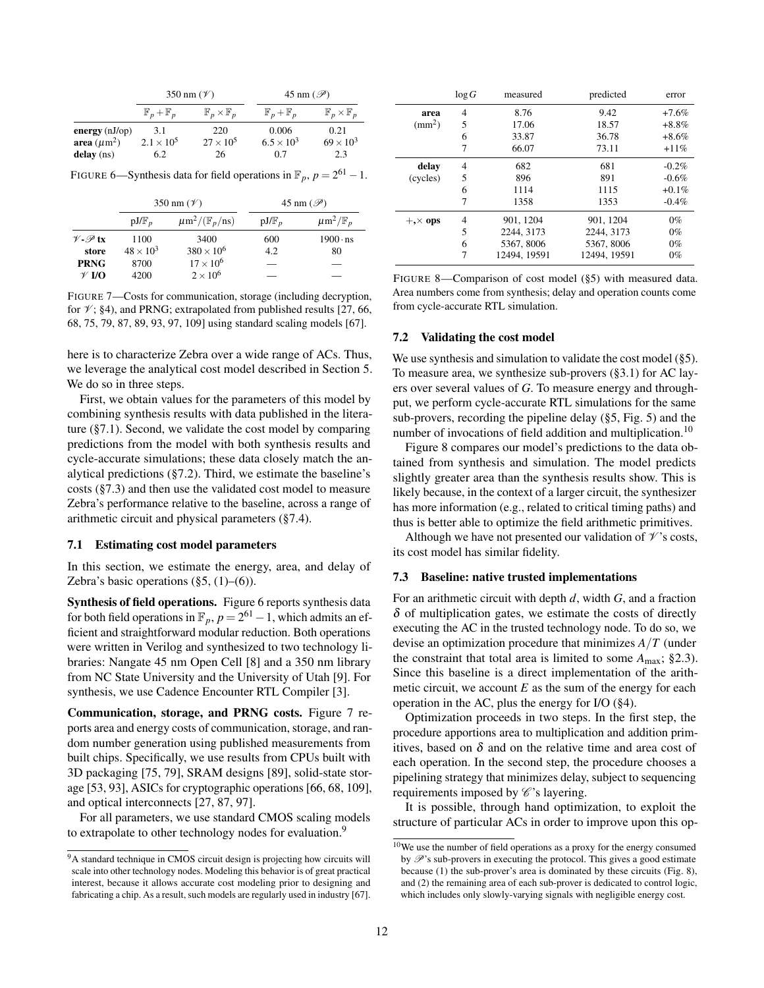<span id="page-11-3"></span>

|                                |                               | 350 nm $(\mathscr{V})$           | 45 nm $(\mathscr{P})$         |                                  |  |
|--------------------------------|-------------------------------|----------------------------------|-------------------------------|----------------------------------|--|
|                                | $\mathbb{F}_p + \mathbb{F}_p$ | $\mathbb{F}_p\times\mathbb{F}_p$ | $\mathbb{F}_p + \mathbb{F}_p$ | $\mathbb{F}_p\times\mathbb{F}_p$ |  |
| energy $(nJ$ <sub>op</sub> $)$ | 220<br>3.1                    |                                  | 0.006                         | 0.21                             |  |
| area $(\mu m^2)$               | $2.1 \times 10^{5}$           | $27 \times 10^5$                 | $6.5 \times 10^{3}$           | $69 \times 10^3$                 |  |
| delay (ns)                     | 6.2                           | 26                               | 0.7                           | 2.3                              |  |

FIGURE 6—Synthesis data for field operations in  $\mathbb{F}_p$ ,  $p = 2^{61} - 1$ .

<span id="page-11-4"></span>

|                          |                  | 350 nm $(\mathscr{V})$                      | 45 nm $(\mathscr{P})$ |                                       |  |
|--------------------------|------------------|---------------------------------------------|-----------------------|---------------------------------------|--|
|                          | $pJ/F_p$         | $\mu$ m <sup>2</sup> /( $\mathbb{F}_p$ /ns) | $pJ/F_p$              | $\mu$ m <sup>2</sup> / $\mathbb{F}_n$ |  |
| $V \cdot \mathscr{P}$ tx | 1100             | 3400                                        | 600                   | $1900 \cdot ns$                       |  |
| store                    | $48 \times 10^3$ | $380 \times 10^{6}$                         | 4.2                   | 80                                    |  |
| <b>PRNG</b>              | 8700             | $17 \times 10^{6}$                          |                       |                                       |  |
| $\mathscr V$ I/O         | 4200             | $2\times10^6$                               |                       |                                       |  |

FIGURE 7—Costs for communication, storage (including decryption, for  $\mathcal{V}$ ; [§4\)](#page-8-0), and PRNG; extrapolated from published results [\[27,](#page-18-33) [66,](#page-18-36) [68,](#page-18-37) [75,](#page-19-28) [79,](#page-19-29) [87,](#page-19-32) [89,](#page-19-35) [93,](#page-19-36) [97,](#page-19-33) [109\]](#page-19-37) using standard scaling models [\[67\]](#page-18-38).

here is to characterize Zebra over a wide range of ACs. Thus, we leverage the analytical cost model described in Section [5.](#page-9-0) We do so in three steps.

First, we obtain values for the parameters of this model by combining synthesis results with data published in the literature ([§7.1\)](#page-11-0). Second, we validate the cost model by comparing predictions from the model with both synthesis results and cycle-accurate simulations; these data closely match the analytical predictions ([§7.2\)](#page-11-1). Third, we estimate the baseline's costs ([§7.3\)](#page-11-2) and then use the validated cost model to measure Zebra's performance relative to the baseline, across a range of arithmetic circuit and physical parameters ([§7.4\)](#page-12-0).

#### <span id="page-11-0"></span>7.1 Estimating cost model parameters

In this section, we estimate the energy, area, and delay of Zebra's basic operations  $(\S5, (1)–(6))$ .

Synthesis of field operations. Figure [6](#page-11-3) reports synthesis data for both field operations in  $\mathbb{F}_p$ ,  $p = 2^{61} - 1$ , which admits an efficient and straightforward modular reduction. Both operations were written in Verilog and synthesized to two technology libraries: Nangate 45 nm Open Cell [\[8\]](#page-17-14) and a 350 nm library from NC State University and the University of Utah [\[9\]](#page-17-15). For synthesis, we use Cadence Encounter RTL Compiler [\[3\]](#page-17-12).

Communication, storage, and PRNG costs. Figure [7](#page-11-4) reports area and energy costs of communication, storage, and random number generation using published measurements from built chips. Specifically, we use results from CPUs built with 3D packaging [\[75,](#page-19-28) [79\]](#page-19-29), SRAM designs [\[89\]](#page-19-35), solid-state storage [\[53,](#page-18-39) [93\]](#page-19-36), ASICs for cryptographic operations [\[66,](#page-18-36) [68,](#page-18-37) [109\]](#page-19-37), and optical interconnects [\[27,](#page-18-33) [87,](#page-19-32) [97\]](#page-19-33).

For all parameters, we use standard CMOS scaling models to extrapolate to other technology nodes for evaluation.<sup>9</sup>

<span id="page-11-5"></span>

|                    | log G | measured     | predicted    | error    |  |
|--------------------|-------|--------------|--------------|----------|--|
| area               | 4     | 8.76         | 9.42         | $+7.6\%$ |  |
| $\text{mm}^2$ )    | 5     | 17.06        | 18.57        | $+8.8\%$ |  |
|                    | 6     | 33.87        | 36.78        | $+8.6\%$ |  |
|                    | 7     | 66.07        | 73.11        | $+11%$   |  |
| delay              | 4     | 682          | 681          | $-0.2\%$ |  |
| (cycles)           | 5     | 896          | 891          | $-0.6%$  |  |
|                    | 6     | 1114         | 1115         | $+0.1\%$ |  |
|                    | 7     | 1358         | 1353         | $-0.4%$  |  |
| $+$ , $\times$ ops | 4     | 901, 1204    | 901, 1204    | $0\%$    |  |
|                    | 5     | 2244, 3173   | 2244, 3173   | $0\%$    |  |
|                    | 6     | 5367, 8006   | 5367, 8006   | $0\%$    |  |
|                    | 7     | 12494, 19591 | 12494, 19591 | $0\%$    |  |

FIGURE 8—Comparison of cost model ([§5\)](#page-9-0) with measured data. Area numbers come from synthesis; delay and operation counts come from cycle-accurate RTL simulation.

### <span id="page-11-1"></span>7.2 Validating the cost model

We use synthesis and simulation to validate the cost model ([§5\)](#page-9-0). To measure area, we synthesize sub-provers ([§3.1\)](#page-6-3) for AC layers over several values of *G*. To measure energy and throughput, we perform cycle-accurate RTL simulations for the same sub-provers, recording the pipeline delay ([§5,](#page-9-0) Fig. [5\)](#page-10-2) and the number of invocations of field addition and multiplication.<sup>10</sup>

Figure [8](#page-11-5) compares our model's predictions to the data obtained from synthesis and simulation. The model predicts slightly greater area than the synthesis results show. This is likely because, in the context of a larger circuit, the synthesizer has more information (e.g., related to critical timing paths) and thus is better able to optimize the field arithmetic primitives.

Although we have not presented our validation of  $\mathcal V$ 's costs, its cost model has similar fidelity.

#### <span id="page-11-2"></span>7.3 Baseline: native trusted implementations

For an arithmetic circuit with depth *d*, width *G*, and a fraction  $\delta$  of multiplication gates, we estimate the costs of directly executing the AC in the trusted technology node. To do so, we devise an optimization procedure that minimizes *A*/*T* (under the constraint that total area is limited to some  $A_{\text{max}}$ ; [§2.3\)](#page-5-1). Since this baseline is a direct implementation of the arithmetic circuit, we account  $E$  as the sum of the energy for each operation in the AC, plus the energy for I/O ([§4\)](#page-8-0).

Optimization proceeds in two steps. In the first step, the procedure apportions area to multiplication and addition primitives, based on  $\delta$  and on the relative time and area cost of each operation. In the second step, the procedure chooses a pipelining strategy that minimizes delay, subject to sequencing requirements imposed by  $\mathscr{C}$ 's layering.

It is possible, through hand optimization, to exploit the structure of particular ACs in order to improve upon this op-

<sup>9</sup>A standard technique in CMOS circuit design is projecting how circuits will scale into other technology nodes. Modeling this behavior is of great practical interest, because it allows accurate cost modeling prior to designing and fabricating a chip. As a result, such models are regularly used in industry [\[67\]](#page-18-38).

<sup>10</sup>We use the number of field operations as a proxy for the energy consumed by  $\mathscr{P}$ 's sub-provers in executing the protocol. This gives a good estimate because (1) the sub-prover's area is dominated by these circuits (Fig. [8\)](#page-11-5), and (2) the remaining area of each sub-prover is dedicated to control logic, which includes only slowly-varying signals with negligible energy cost.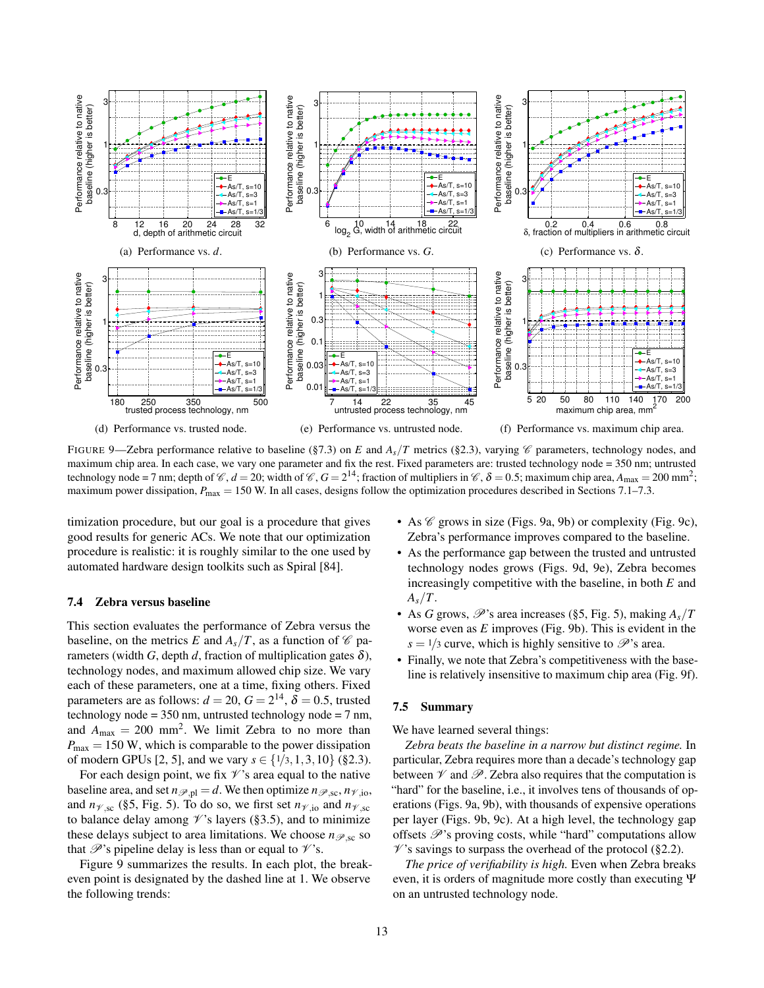<span id="page-12-1"></span>

FIGURE 9—Zebra performance relative to baseline ([§7.3\)](#page-11-2) on *E* and  $A_s/T$  metrics ([§2.3\)](#page-5-1), varying  $\mathscr C$  parameters, technology nodes, and maximum chip area. In each case, we vary one parameter and fix the rest. Fixed parameters are: trusted technology node = 350 nm; untrusted technology node = 7 nm; depth of  $\mathcal{C}$ ,  $d = 20$ ; width of  $\mathcal{C}$ ,  $G = 2^{14}$ ; fraction of multipliers in  $\mathcal{C}$ ,  $\delta = 0.5$ ; maximum chip area,  $A_{\text{max}} = 200$  mm<sup>2</sup>; maximum power dissipation,  $P_{\text{max}} = 150$  W. In all cases, designs follow the optimization procedures described in Sections [7.1](#page-11-0)[–7.3.](#page-11-2)

timization procedure, but our goal is a procedure that gives good results for generic ACs. We note that our optimization procedure is realistic: it is roughly similar to the one used by automated hardware design toolkits such as Spiral [\[84\]](#page-19-34).

## <span id="page-12-0"></span>7.4 Zebra versus baseline

This section evaluates the performance of Zebra versus the baseline, on the metrics *E* and  $A_s/T$ , as a function of  $\mathcal C$  parameters (width *G*, depth *d*, fraction of multiplication gates  $\delta$ ), technology nodes, and maximum allowed chip size. We vary each of these parameters, one at a time, fixing others. Fixed parameters are as follows:  $d = 20$ ,  $G = 2^{14}$ ,  $\delta = 0.5$ , trusted technology node =  $350$  nm, untrusted technology node =  $7$  nm, and  $A_{\text{max}} = 200 \text{ mm}^2$ . We limit Zebra to no more than  $P_{\text{max}} = 150$  W, which is comparable to the power dissipation of modern GPUs [\[2,](#page-17-16) [5\]](#page-17-17), and we vary  $s \in \{1/3, 1, 3, 10\}$  ([§2.3\)](#page-5-1).

For each design point, we fix  $\mathcal V$ 's area equal to the native baseline area, and set  $n_{\mathscr{P},pl} = d$ . We then optimize  $n_{\mathscr{P},sc}, n_{\mathscr{V},io}$ , and  $n_{\mathscr{V},sc}$  ([§5,](#page-9-0) Fig. [5\)](#page-10-2). To do so, we first set  $n_{\mathscr{V},io}$  and  $n_{\mathscr{V},sc}$ to balance delay among  $\mathcal{V}$ 's layers ([§3.5\)](#page-8-2), and to minimize these delays subject to area limitations. We choose  $n_{\mathscr{P}^{\text{sc}}}$  so that  $\mathscr{P}$ 's pipeline delay is less than or equal to  $\mathscr{V}'$ 's.

Figure [9](#page-12-1) summarizes the results. In each plot, the breakeven point is designated by the dashed line at 1. We observe the following trends:

- As  $\mathscr C$  grows in size (Figs. [9a, 9b\)](#page-12-1) or complexity (Fig. [9c\)](#page-12-1), Zebra's performance improves compared to the baseline.
- As the performance gap between the trusted and untrusted technology nodes grows (Figs. [9d, 9e\)](#page-12-1), Zebra becomes increasingly competitive with the baseline, in both *E* and  $A_s/T$ .
- As *G* grows,  $\mathscr{P}$ 's area increases ([§5,](#page-9-0) Fig. [5\)](#page-10-2), making  $A_s/T$ worse even as *E* improves (Fig. [9b\)](#page-12-1). This is evident in the  $s = \frac{1}{3}$  curve, which is highly sensitive to  $\mathscr{P}$ 's area.
- Finally, we note that Zebra's competitiveness with the baseline is relatively insensitive to maximum chip area (Fig. [9f\)](#page-12-1).

# 7.5 Summary

We have learned several things:

*Zebra beats the baseline in a narrow but distinct regime.* In particular, Zebra requires more than a decade's technology gap between  $\mathcal V$  and  $\mathcal P$ . Zebra also requires that the computation is "hard" for the baseline, i.e., it involves tens of thousands of operations (Figs. [9a, 9b\)](#page-12-1), with thousands of expensive operations per layer (Figs. [9b, 9c\)](#page-12-1). At a high level, the technology gap offsets  $\mathscr{P}$ 's proving costs, while "hard" computations allow  $\mathcal{V}$ 's savings to surpass the overhead of the protocol ([§2.2\)](#page-2-1).

*The price of verifiability is high.* Even when Zebra breaks even, it is orders of magnitude more costly than executing Ψ on an untrusted technology node.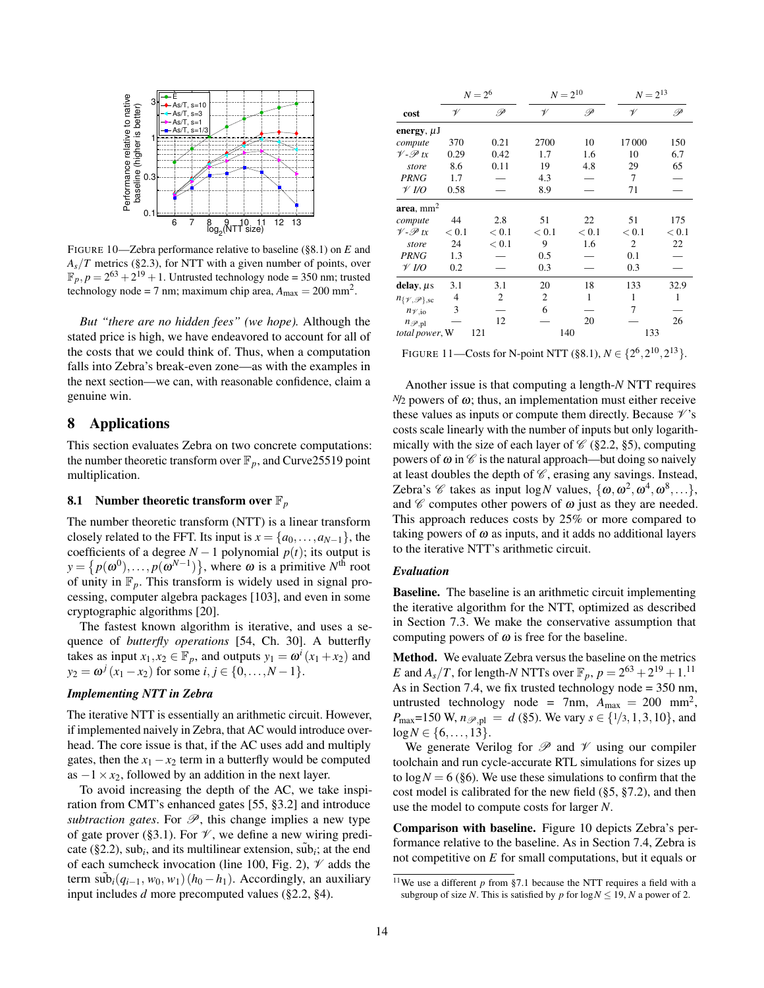<span id="page-13-3"></span>

FIGURE 10—Zebra performance relative to baseline ([§8.1\)](#page-13-2) on *E* and  $A<sub>s</sub>/T$  metrics ([§2.3\)](#page-5-1), for NTT with a given number of points, over  $\mathbb{F}_p, p = 2^{63} + 2^{19} + 1$ . Untrusted technology node = 350 nm; trusted technology node = 7 nm; maximum chip area,  $A_{\text{max}} = 200 \text{ mm}^2$ .

*But "there are no hidden fees" (we hope).* Although the stated price is high, we have endeavored to account for all of the costs that we could think of. Thus, when a computation falls into Zebra's break-even zone—as with the examples in the next section—we can, with reasonable confidence, claim a genuine win.

# <span id="page-13-1"></span>8 Applications

This section evaluates Zebra on two concrete computations: the number theoretic transform over  $\mathbb{F}_p$ , and Curve 25519 point multiplication.

# <span id="page-13-0"></span>8.1 Number theoretic transform over F*<sup>p</sup>*

The number theoretic transform (NTT) is a linear transform closely related to the FFT. Its input is  $x = \{a_0, \ldots, a_{N-1}\}\,$ , the coefficients of a degree  $N-1$  polynomial  $p(t)$ ; its output is  $y = \{p(\omega^0), \ldots, p(\omega^{N-1})\},\$  where  $\omega$  is a primitive  $N^{\text{th}}$  root of unity in  $\mathbb{F}_p$ . This transform is widely used in signal processing, computer algebra packages [\[103\]](#page-19-38), and even in some cryptographic algorithms [\[20\]](#page-17-18).

The fastest known algorithm is iterative, and uses a sequence of *butterfly operations* [\[54,](#page-18-40) Ch. 30]. A butterfly takes as input  $x_1, x_2 \in \mathbb{F}_p$ , and outputs  $y_1 = \omega^i (x_1 + x_2)$  and  $y_2 = \omega^j (x_1 - x_2)$  for some  $i, j \in \{0, ..., N - 1\}.$ 

## <span id="page-13-5"></span>*Implementing NTT in Zebra*

The iterative NTT is essentially an arithmetic circuit. However, if implemented naively in Zebra, that AC would introduce overhead. The core issue is that, if the AC uses add and multiply gates, then the  $x_1 - x_2$  term in a butterfly would be computed as  $-1 \times x_2$ , followed by an addition in the next layer.

To avoid increasing the depth of the AC, we take inspiration from CMT's enhanced gates [\[55,](#page-18-23) §3.2] and introduce *subtraction gates.* For  $\mathscr{P}$ , this change implies a new type of gate prover ([§3.1\)](#page-6-3). For  $\mathcal V$ , we define a new wiring predi-cate ([§2.2\)](#page-2-1), sub<sub>*i*</sub>, and its multilinear extension,  $\tilde{\text{sub}}_i$ ; at the end of each sumcheck invocation (line [100,](#page-4-0) Fig. [2\)](#page-4-0),  $\mathcal V$  adds the term  $\sinh(i(q_{i-1}, w_0, w_1)(h_0 - h_1)$ . Accordingly, an auxiliary input includes *d* more precomputed values ([§2.2,](#page-2-1) [§4\)](#page-8-0).

<span id="page-13-4"></span>

|                                      | $N = 2^6$    |       | $N = 2^{10}$ |       | $N = 2^{13}$ |       |
|--------------------------------------|--------------|-------|--------------|-------|--------------|-------|
| cost                                 | $\mathscr V$ | P     | V            | P     | V            | P     |
| energy, $\mu$ J                      |              |       |              |       |              |       |
| compute                              | 370          | 0.21  | 2700         | 10    | 17000        | 150   |
| $V - P t x$                          | 0.29         | 0.42  | 1.7          | 1.6   | 10           | 6.7   |
| store                                | 8.6          | 0.11  | 19           | 4.8   | 29           | 65    |
| <b>PRNG</b>                          | 1.7          |       | 4.3          |       | 7            |       |
| $\mathscr V$ I/O                     | 0.58         |       | 8.9          |       | 71           |       |
| $\mathbf{area},\, \mathbf{mm}^2$     |              |       |              |       |              |       |
| compute                              | 44           | 2.8   | 51           | 22    | 51           | 175   |
| $V - P t x$                          | < 0.1        | < 0.1 | < 0.1        | < 0.1 | < 0.1        | < 0.1 |
| store                                | 24           | < 0.1 | 9            | 1.6   | 2            | 22    |
| <b>PRNG</b>                          | 1.3          |       | 0.5          |       | 0.1          |       |
| $\mathcal V$ I/O                     | 0.2          |       | 0.3          |       | 0.3          |       |
| delay, $\mu$ s                       | 3.1          | 3.1   | 20           | 18    | 133          | 32.9  |
| $n_{\{\mathcal{V},\mathcal{P}\},sc}$ | 4            | 2     | 2            | 1     | $\mathbf{1}$ | 1     |
| $n_{\mathcal{V},\text{io}}$          | 3            |       | 6            |       | 7            |       |
| $n_{\mathscr{P},\text{pl}}$          |              | 12    |              | 20    |              | 26    |
| total power, W<br>121                |              | 140   |              | 133   |              |       |

FIGURE 11—Costs for N-point NTT ([§8.1\)](#page-13-0),  $N \in \{2^6, 2^{10}, 2^{13}\}.$ 

Another issue is that computing a length-*N* NTT requires *<sup>N</sup>*/<sup>2</sup> powers of ω; thus, an implementation must either receive these values as inputs or compute them directly. Because  $\mathcal{V}$ 's costs scale linearly with the number of inputs but only logarithmically with the size of each layer of  $\mathcal{C}$  ([§2.2,](#page-2-1) [§5\)](#page-9-0), computing powers of  $\omega$  in  $\mathscr C$  is the natural approach—but doing so naively at least doubles the depth of  $\mathscr{C}$ , erasing any savings. Instead, Zebra's *C* takes as input  $\log N$  values,  $\{\omega, \omega^2, \omega^4, \omega^8, \ldots\},$ and  $\mathscr C$  computes other powers of  $\omega$  just as they are needed. This approach reduces costs by 25% or more compared to taking powers of  $\omega$  as inputs, and it adds no additional layers to the iterative NTT's arithmetic circuit.

## <span id="page-13-2"></span>*Evaluation*

Baseline. The baseline is an arithmetic circuit implementing the iterative algorithm for the NTT, optimized as described in Section [7.3.](#page-11-2) We make the conservative assumption that computing powers of  $\omega$  is free for the baseline.

Method. We evaluate Zebra versus the baseline on the metrics *E* and  $A_s/T$ , for length-*N* NTTs over  $\mathbb{F}_p$ ,  $p = 2^{63} + 2^{19} + 1.1^1$ As in Section [7.4,](#page-12-0) we fix trusted technology node = 350 nm, untrusted technology node = 7nm,  $A_{\text{max}} = 200 \text{ mm}^2$ , *P*<sub>max</sub>=150 W,  $n_{\mathcal{P},pl} = d$  ([§5\)](#page-9-0). We vary  $s \in \{1/3, 1, 3, 10\}$ , and  $log N \in \{6, \ldots, 13\}.$ 

We generate Verilog for  $\mathscr P$  and  $\mathscr V$  using our compiler toolchain and run cycle-accurate RTL simulations for sizes up to  $log N = 6$  ([§6\)](#page-10-0). We use these simulations to confirm that the cost model is calibrated for the new field ([§5,](#page-9-0) [§7.2\)](#page-11-1), and then use the model to compute costs for larger *N*.

Comparison with baseline. Figure [10](#page-13-3) depicts Zebra's performance relative to the baseline. As in Section [7.4,](#page-12-0) Zebra is not competitive on *E* for small computations, but it equals or

<sup>&</sup>lt;sup>11</sup>We use a different  $p$  from [§7.1](#page-11-0) because the NTT requires a field with a subgroup of size *N*. This is satisfied by *p* for  $\log N \leq 19$ , *N* a power of 2.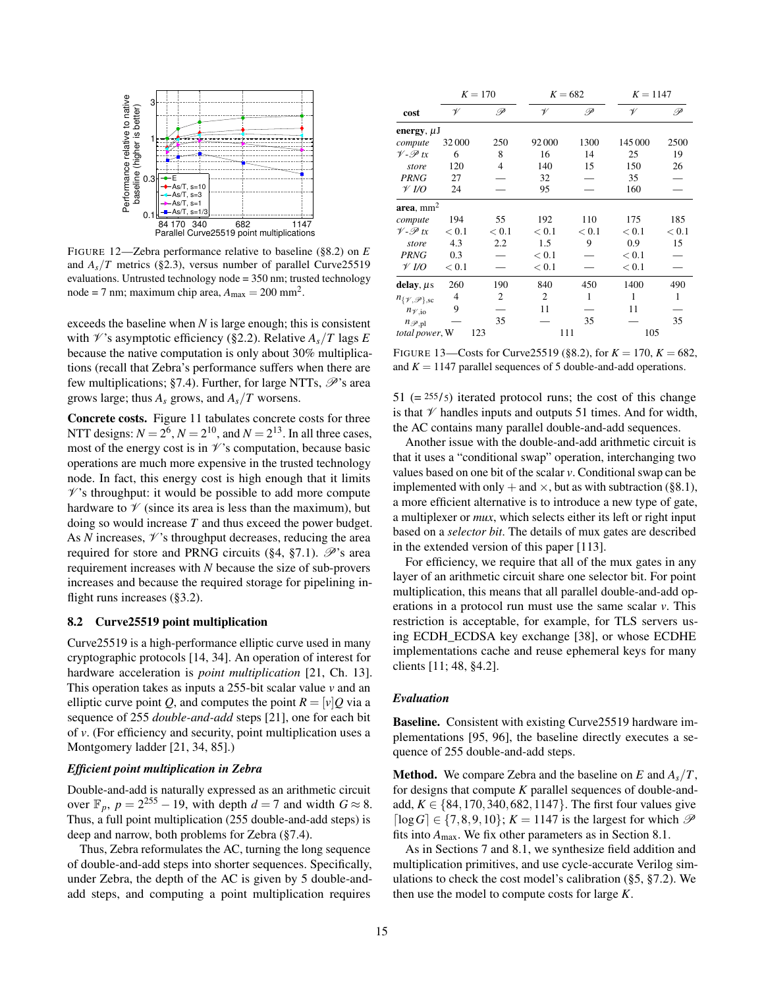<span id="page-14-2"></span>

FIGURE 12—Zebra performance relative to baseline ([§8.2\)](#page-14-1) on *E* and  $A_s/T$  metrics ([§2.3\)](#page-5-1), versus number of parallel Curve25519 evaluations. Untrusted technology node = 350 nm; trusted technology node = 7 nm; maximum chip area,  $A_{\text{max}} = 200 \text{ mm}^2$ .

exceeds the baseline when *N* is large enough; this is consistent with  $\mathcal{V}$ 's asymptotic efficiency ([§2.2\)](#page-2-1). Relative  $A_s/T$  lags E because the native computation is only about 30% multiplications (recall that Zebra's performance suffers when there are few multiplications; [§7.4\)](#page-12-0). Further, for large NTTs,  $\mathcal{P}$ 's area grows large; thus *A<sup>s</sup>* grows, and *As*/*T* worsens.

Concrete costs. Figure [11](#page-13-4) tabulates concrete costs for three NTT designs:  $N = 2^6$ ,  $N = 2^{10}$ , and  $N = 2^{13}$ . In all three cases, most of the energy cost is in  $\mathcal V$ 's computation, because basic operations are much more expensive in the trusted technology node. In fact, this energy cost is high enough that it limits  $\mathscr{V}$ 's throughput: it would be possible to add more compute hardware to  $\mathcal V$  (since its area is less than the maximum), but doing so would increase *T* and thus exceed the power budget. As  $N$  increases,  $\mathcal V$ 's throughput decreases, reducing the area required for store and PRNG circuits ([§4,](#page-8-0) [§7.1\)](#page-11-0).  $\mathscr{P}$ 's area requirement increases with *N* because the size of sub-provers increases and because the required storage for pipelining in-flight runs increases ([§3.2\)](#page-6-1).

# <span id="page-14-0"></span>8.2 Curve25519 point multiplication

Curve25519 is a high-performance elliptic curve used in many cryptographic protocols [\[14,](#page-17-19) [34\]](#page-18-41). An operation of interest for hardware acceleration is *point multiplication* [\[21,](#page-17-20) Ch. 13]. This operation takes as inputs a 255-bit scalar value *v* and an elliptic curve point *Q*, and computes the point  $R = [v]Q$  via a sequence of 255 *double-and-add* steps [\[21\]](#page-17-20), one for each bit of *v*. (For efficiency and security, point multiplication uses a Montgomery ladder [\[21,](#page-17-20) [34,](#page-18-41) [85\]](#page-19-39).)

## *Efficient point multiplication in Zebra*

Double-and-add is naturally expressed as an arithmetic circuit over  $\mathbb{F}_p$ ,  $p = 2^{255} - 19$ , with depth  $d = 7$  and width  $G \approx 8$ . Thus, a full point multiplication (255 double-and-add steps) is deep and narrow, both problems for Zebra ([§7.4\)](#page-12-0).

Thus, Zebra reformulates the AC, turning the long sequence of double-and-add steps into shorter sequences. Specifically, under Zebra, the depth of the AC is given by 5 double-andadd steps, and computing a point multiplication requires

<span id="page-14-3"></span>

|                                      | $K = 170$ |                | $K = 682$      |       | $K = 1147$ |       |
|--------------------------------------|-----------|----------------|----------------|-------|------------|-------|
| cost                                 | V         | P              | V              | P     | V          | P     |
| energy, $\mu$ J                      |           |                |                |       |            |       |
| compute                              | 32000     | 250            | 92000          | 1300  | 145 000    | 2500  |
| $V - P t x$                          | 6         | 8              | 16             | 14    | 25         | 19    |
| store                                | 120       | $\overline{4}$ | 140            | 15    | 150        | 26    |
| <b>PRNG</b>                          | 27        |                | 32             |       | 35         |       |
| $\mathcal V$ I/O                     | 24        |                | 95             |       | 160        |       |
| area, mm <sup>2</sup>                |           |                |                |       |            |       |
| compute                              | 194       | 55             | 192            | 110   | 175        | 185   |
| $V - P t x$                          | < 0.1     | < 0.1          | < 0.1          | < 0.1 | < 0.1      | < 0.1 |
| store                                | 4.3       | 2.2            | 1.5            | 9     | 0.9        | 15    |
| <b>PRNG</b>                          | 0.3       |                | < 0.1          |       | < 0.1      |       |
| $\mathscr V$ I/O                     | < 0.1     |                | < 0.1          |       | < 0.1      |       |
| delay, $\mu$ s                       | 260       | 190            | 840            | 450   | 1400       | 490   |
| $n_{\{\mathcal{V},\mathcal{P}\},sc}$ | 4         | 2              | $\overline{c}$ | 1     | 1          | 1     |
| $n_{\mathcal{V},\text{io}}$          | 9         |                | 11             |       | 11         |       |
| $n_{\mathscr{P},\text{pl}}$          |           | 35             |                | 35    |            | 35    |
| total power, W<br>123                |           |                | 111            |       | 105        |       |

FIGURE 13—Costs for Curve 25519 ([§8.2\)](#page-14-0), for  $K = 170$ ,  $K = 682$ , and  $K = 1147$  parallel sequences of 5 double-and-add operations.

 $51$  (=  $255/5$ ) iterated protocol runs; the cost of this change is that  $\mathcal V$  handles inputs and outputs 51 times. And for width, the AC contains many parallel double-and-add sequences.

Another issue with the double-and-add arithmetic circuit is that it uses a "conditional swap" operation, interchanging two values based on one bit of the scalar *v*. Conditional swap can be implemented with only  $+$  and  $\times$ , but as with subtraction ([§8.1\)](#page-13-5), a more efficient alternative is to introduce a new type of gate, a multiplexer or *mux*, which selects either its left or right input based on a *selector bit*. The details of mux gates are described in the extended version of this paper [\[113\]](#page-19-40).

For efficiency, we require that all of the mux gates in any layer of an arithmetic circuit share one selector bit. For point multiplication, this means that all parallel double-and-add operations in a protocol run must use the same scalar *v*. This restriction is acceptable, for example, for TLS servers using ECDH\_ECDSA key exchange [\[38\]](#page-18-42), or whose ECDHE implementations cache and reuse ephemeral keys for many clients [\[11;](#page-17-21) [48,](#page-18-43) §4.2].

## <span id="page-14-1"></span>*Evaluation*

Baseline. Consistent with existing Curve25519 hardware implementations [\[95,](#page-19-41) [96\]](#page-19-42), the baseline directly executes a sequence of 255 double-and-add steps.

**Method.** We compare Zebra and the baseline on  $E$  and  $A_s/T$ , for designs that compute *K* parallel sequences of double-andadd,  $K \in \{84, 170, 340, 682, 1147\}$ . The first four values give  $[\log G] \in \{7, 8, 9, 10\}$ ;  $K = 1147$  is the largest for which  $\mathscr P$ fits into *A*max. We fix other parameters as in Section [8.1.](#page-13-0)

As in Sections [7](#page-10-1) and [8.1,](#page-13-0) we synthesize field addition and multiplication primitives, and use cycle-accurate Verilog simulations to check the cost model's calibration ([§5,](#page-9-0) [§7.2\)](#page-11-1). We then use the model to compute costs for large *K*.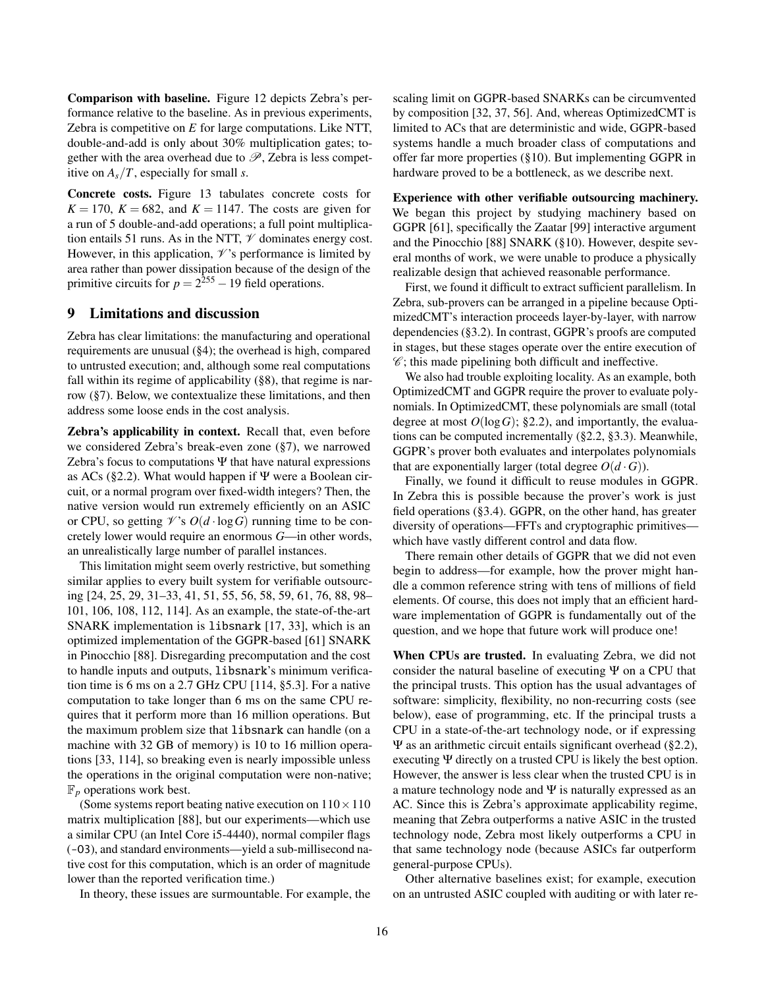Comparison with baseline. Figure [12](#page-14-2) depicts Zebra's performance relative to the baseline. As in previous experiments, Zebra is competitive on *E* for large computations. Like NTT, double-and-add is only about 30% multiplication gates; together with the area overhead due to  $\mathscr{P}$ , Zebra is less competitive on *As*/*T*, especially for small *s*.

Concrete costs. Figure [13](#page-14-3) tabulates concrete costs for  $K = 170$ ,  $K = 682$ , and  $K = 1147$ . The costs are given for a run of 5 double-and-add operations; a full point multiplication entails 51 runs. As in the NTT,  $\mathcal V$  dominates energy cost. However, in this application,  $\mathcal V$ 's performance is limited by area rather than power dissipation because of the design of the primitive circuits for  $p = 2^{255} - 19$  field operations.

# <span id="page-15-0"></span>9 Limitations and discussion

Zebra has clear limitations: the manufacturing and operational requirements are unusual ([§4\)](#page-8-0); the overhead is high, compared to untrusted execution; and, although some real computations fall within its regime of applicability ([§8\)](#page-13-1), that regime is narrow ([§7\)](#page-10-1). Below, we contextualize these limitations, and then address some loose ends in the cost analysis.

<span id="page-15-1"></span>Zebra's applicability in context. Recall that, even before we considered Zebra's break-even zone ([§7\)](#page-10-1), we narrowed Zebra's focus to computations  $\Psi$  that have natural expressions as ACs ([§2.2\)](#page-2-1). What would happen if  $\Psi$  were a Boolean circuit, or a normal program over fixed-width integers? Then, the native version would run extremely efficiently on an ASIC or CPU, so getting  $\mathcal{V}$ 's  $O(d \cdot \log G)$  running time to be concretely lower would require an enormous *G*—in other words, an unrealistically large number of parallel instances.

This limitation might seem overly restrictive, but something similar applies to every built system for verifiable outsourcing [\[24,](#page-18-16) [25,](#page-18-17) [29,](#page-18-18) [31](#page-18-19)[–33,](#page-18-20) [41,](#page-18-21) [51,](#page-18-22) [55,](#page-18-23) [56,](#page-18-24) [58,](#page-18-25) [59,](#page-18-26) [61,](#page-18-27) [76,](#page-19-14) [88,](#page-19-15) [98–](#page-19-16) [101,](#page-19-17) [106,](#page-19-18) [108,](#page-19-19) [112,](#page-19-20) [114\]](#page-19-21). As an example, the state-of-the-art SNARK implementation is libsnark [\[17,](#page-17-22) [33\]](#page-18-20), which is an optimized implementation of the GGPR-based [\[61\]](#page-18-27) SNARK in Pinocchio [\[88\]](#page-19-15). Disregarding precomputation and the cost to handle inputs and outputs, libsnark's minimum verification time is 6 ms on a 2.7 GHz CPU [\[114,](#page-19-21) §5.3]. For a native computation to take longer than 6 ms on the same CPU requires that it perform more than 16 million operations. But the maximum problem size that libsnark can handle (on a machine with 32 GB of memory) is 10 to 16 million operations [\[33,](#page-18-20) [114\]](#page-19-21), so breaking even is nearly impossible unless the operations in the original computation were non-native;  $\mathbb{F}_p$  operations work best.

(Some systems report beating native execution on  $110 \times 110$ ) matrix multiplication [\[88\]](#page-19-15), but our experiments—which use a similar CPU (an Intel Core i5-4440), normal compiler flags (-O3), and standard environments—yield a sub-millisecond native cost for this computation, which is an order of magnitude lower than the reported verification time.)

In theory, these issues are surmountable. For example, the

scaling limit on GGPR-based SNARKs can be circumvented by composition [\[32,](#page-18-44) [37,](#page-18-45) [56\]](#page-18-24). And, whereas OptimizedCMT is limited to ACs that are deterministic and wide, GGPR-based systems handle a much broader class of computations and offer far more properties ([§10\)](#page-16-0). But implementing GGPR in hardware proved to be a bottleneck, as we describe next.

Experience with other verifiable outsourcing machinery. We began this project by studying machinery based on GGPR [\[61\]](#page-18-27), specifically the Zaatar [\[99\]](#page-19-24) interactive argument and the Pinocchio [\[88\]](#page-19-15) SNARK ([§10\)](#page-16-0). However, despite several months of work, we were unable to produce a physically realizable design that achieved reasonable performance.

First, we found it difficult to extract sufficient parallelism. In Zebra, sub-provers can be arranged in a pipeline because OptimizedCMT's interaction proceeds layer-by-layer, with narrow dependencies ([§3.2\)](#page-6-1). In contrast, GGPR's proofs are computed in stages, but these stages operate over the entire execution of  $\mathscr{C}$ ; this made pipelining both difficult and ineffective.

We also had trouble exploiting locality. As an example, both OptimizedCMT and GGPR require the prover to evaluate polynomials. In OptimizedCMT, these polynomials are small (total degree at most  $O(\log G)$ ; [§2.2\)](#page-2-1), and importantly, the evaluations can be computed incrementally ([§2.2,](#page-2-1) [§3.3\)](#page-7-1). Meanwhile, GGPR's prover both evaluates and interpolates polynomials that are exponentially larger (total degree  $O(d \cdot G)$ ).

Finally, we found it difficult to reuse modules in GGPR. In Zebra this is possible because the prover's work is just field operations ([§3.4\)](#page-8-1). GGPR, on the other hand, has greater diversity of operations—FFTs and cryptographic primitives which have vastly different control and data flow.

There remain other details of GGPR that we did not even begin to address—for example, how the prover might handle a common reference string with tens of millions of field elements. Of course, this does not imply that an efficient hardware implementation of GGPR is fundamentally out of the question, and we hope that future work will produce one!

When CPUs are trusted. In evaluating Zebra, we did not consider the natural baseline of executing Ψ on a CPU that the principal trusts. This option has the usual advantages of software: simplicity, flexibility, no non-recurring costs (see below), ease of programming, etc. If the principal trusts a CPU in a state-of-the-art technology node, or if expressing Ψ as an arithmetic circuit entails significant overhead ([§2.2\)](#page-2-1), executing Ψ directly on a trusted CPU is likely the best option. However, the answer is less clear when the trusted CPU is in a mature technology node and  $\Psi$  is naturally expressed as an AC. Since this is Zebra's approximate applicability regime, meaning that Zebra outperforms a native ASIC in the trusted technology node, Zebra most likely outperforms a CPU in that same technology node (because ASICs far outperform general-purpose CPUs).

Other alternative baselines exist; for example, execution on an untrusted ASIC coupled with auditing or with later re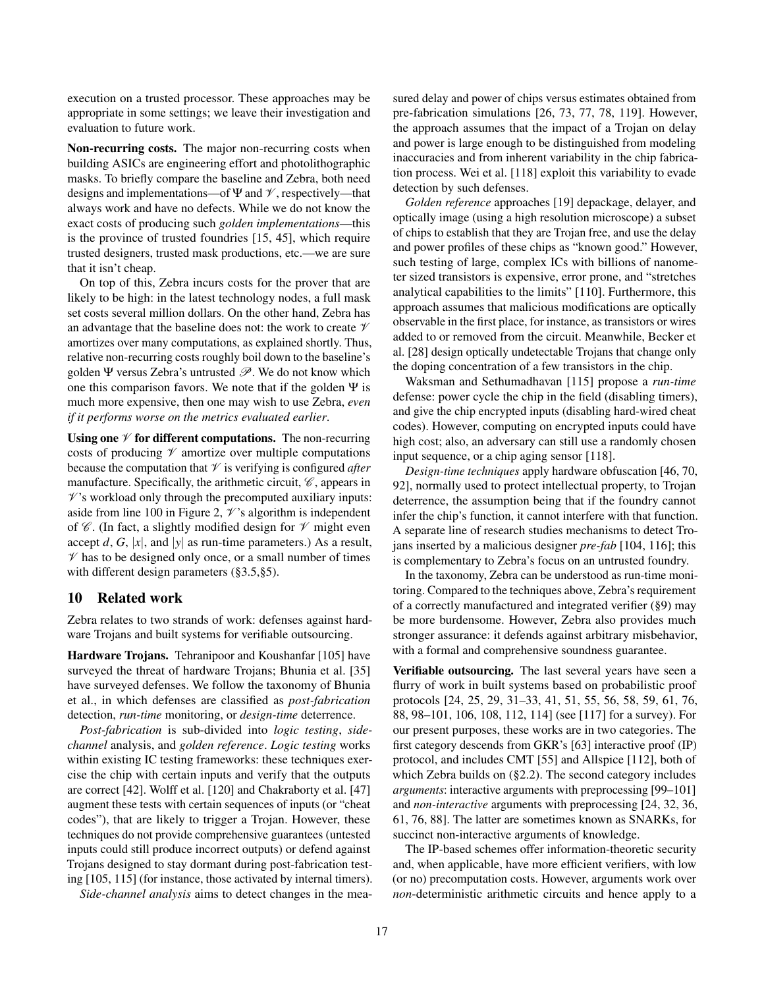execution on a trusted processor. These approaches may be appropriate in some settings; we leave their investigation and evaluation to future work.

Non-recurring costs. The major non-recurring costs when building ASICs are engineering effort and photolithographic masks. To briefly compare the baseline and Zebra, both need designs and implementations—of  $\Psi$  and  $\mathcal V$ , respectively—that always work and have no defects. While we do not know the exact costs of producing such *golden implementations*—this is the province of trusted foundries [\[15,](#page-17-3) [45\]](#page-18-1), which require trusted designers, trusted mask productions, etc.—we are sure that it isn't cheap.

On top of this, Zebra incurs costs for the prover that are likely to be high: in the latest technology nodes, a full mask set costs several million dollars. On the other hand, Zebra has an advantage that the baseline does not: the work to create  $\mathcal V$ amortizes over many computations, as explained shortly. Thus, relative non-recurring costs roughly boil down to the baseline's golden Ψ versus Zebra's untrusted  $\mathscr P$ . We do not know which one this comparison favors. We note that if the golden  $\Psi$  is much more expensive, then one may wish to use Zebra, *even if it performs worse on the metrics evaluated earlier*.

Using one  $\mathcal V$  for different computations. The non-recurring costs of producing  $\mathcal V$  amortize over multiple computations because the computation that  $\mathcal V$  is verifying is configured *after* manufacture. Specifically, the arithmetic circuit,  $\mathscr{C}$ , appears in  $\mathscr{V}$ 's workload only through the precomputed auxiliary inputs: aside from line [100](#page-4-0) in Figure [2,](#page-4-0)  $\mathcal{V}$ 's algorithm is independent of  $\mathscr C$ . (In fact, a slightly modified design for  $\mathscr V$  might even accept  $d$ ,  $G$ ,  $|x|$ , and  $|y|$  as run-time parameters.) As a result,  $\mathcal V$  has to be designed only once, or a small number of times with different design parameters ([§3.5,](#page-8-2)[§5\)](#page-9-0).

# <span id="page-16-0"></span>10 Related work

Zebra relates to two strands of work: defenses against hardware Trojans and built systems for verifiable outsourcing.

Hardware Trojans. Tehranipoor and Koushanfar [\[105\]](#page-19-0) have surveyed the threat of hardware Trojans; Bhunia et al. [\[35\]](#page-18-0) have surveyed defenses. We follow the taxonomy of Bhunia et al., in which defenses are classified as *post-fabrication* detection, *run-time* monitoring, or *design-time* deterrence.

*Post-fabrication* is sub-divided into *logic testing*, *sidechannel* analysis, and *golden reference*. *Logic testing* works within existing IC testing frameworks: these techniques exercise the chip with certain inputs and verify that the outputs are correct [\[42\]](#page-18-46). Wolff et al. [\[120\]](#page-19-7) and Chakraborty et al. [\[47\]](#page-18-4) augment these tests with certain sequences of inputs (or "cheat codes"), that are likely to trigger a Trojan. However, these techniques do not provide comprehensive guarantees (untested inputs could still produce incorrect outputs) or defend against Trojans designed to stay dormant during post-fabrication testing [\[105,](#page-19-0) [115\]](#page-19-8) (for instance, those activated by internal timers).

*Side-channel analysis* aims to detect changes in the mea-

sured delay and power of chips versus estimates obtained from pre-fabrication simulations [\[26,](#page-18-3) [73,](#page-19-3) [77,](#page-19-4) [78,](#page-19-5) [119\]](#page-19-6). However, the approach assumes that the impact of a Trojan on delay and power is large enough to be distinguished from modeling inaccuracies and from inherent variability in the chip fabrication process. Wei et al. [\[118\]](#page-19-43) exploit this variability to evade detection by such defenses.

*Golden reference* approaches [\[19\]](#page-17-0) depackage, delayer, and optically image (using a high resolution microscope) a subset of chips to establish that they are Trojan free, and use the delay and power profiles of these chips as "known good." However, such testing of large, complex ICs with billions of nanometer sized transistors is expensive, error prone, and "stretches analytical capabilities to the limits" [\[110\]](#page-19-44). Furthermore, this approach assumes that malicious modifications are optically observable in the first place, for instance, as transistors or wires added to or removed from the circuit. Meanwhile, Becker et al. [\[28\]](#page-18-47) design optically undetectable Trojans that change only the doping concentration of a few transistors in the chip.

Waksman and Sethumadhavan [\[115\]](#page-19-8) propose a *run-time* defense: power cycle the chip in the field (disabling timers), and give the chip encrypted inputs (disabling hard-wired cheat codes). However, computing on encrypted inputs could have high cost; also, an adversary can still use a randomly chosen input sequence, or a chip aging sensor [\[118\]](#page-19-43).

*Design-time techniques* apply hardware obfuscation [\[46,](#page-18-5) [70,](#page-18-6) [92\]](#page-19-9), normally used to protect intellectual property, to Trojan deterrence, the assumption being that if the foundry cannot infer the chip's function, it cannot interfere with that function. A separate line of research studies mechanisms to detect Trojans inserted by a malicious designer *pre-fab* [\[104,](#page-19-45) [116\]](#page-19-46); this is complementary to Zebra's focus on an untrusted foundry.

In the taxonomy, Zebra can be understood as run-time monitoring. Compared to the techniques above, Zebra's requirement of a correctly manufactured and integrated verifier ([§9\)](#page-15-0) may be more burdensome. However, Zebra also provides much stronger assurance: it defends against arbitrary misbehavior, with a formal and comprehensive soundness guarantee.

Verifiable outsourcing. The last several years have seen a flurry of work in built systems based on probabilistic proof protocols [\[24,](#page-18-16) [25,](#page-18-17) [29,](#page-18-18) [31](#page-18-19)[–33,](#page-18-20) [41,](#page-18-21) [51,](#page-18-22) [55,](#page-18-23) [56,](#page-18-24) [58,](#page-18-25) [59,](#page-18-26) [61,](#page-18-27) [76,](#page-19-14) [88,](#page-19-15) [98–](#page-19-16)[101,](#page-19-17) [106,](#page-19-18) [108,](#page-19-19) [112,](#page-19-20) [114\]](#page-19-21) (see [\[117\]](#page-19-22) for a survey). For our present purposes, these works are in two categories. The first category descends from GKR's [\[63\]](#page-18-9) interactive proof (IP) protocol, and includes CMT [\[55\]](#page-18-23) and Allspice [\[112\]](#page-19-20), both of which Zebra builds on ([§2.2\)](#page-2-1). The second category includes *arguments*: interactive arguments with preprocessing [\[99–](#page-19-24)[101\]](#page-19-17) and *non-interactive* arguments with preprocessing [\[24,](#page-18-16) [32,](#page-18-44) [36,](#page-18-14) [61,](#page-18-27) [76,](#page-19-14) [88\]](#page-19-15). The latter are sometimes known as SNARKs, for succinct non-interactive arguments of knowledge.

The IP-based schemes offer information-theoretic security and, when applicable, have more efficient verifiers, with low (or no) precomputation costs. However, arguments work over *non*-deterministic arithmetic circuits and hence apply to a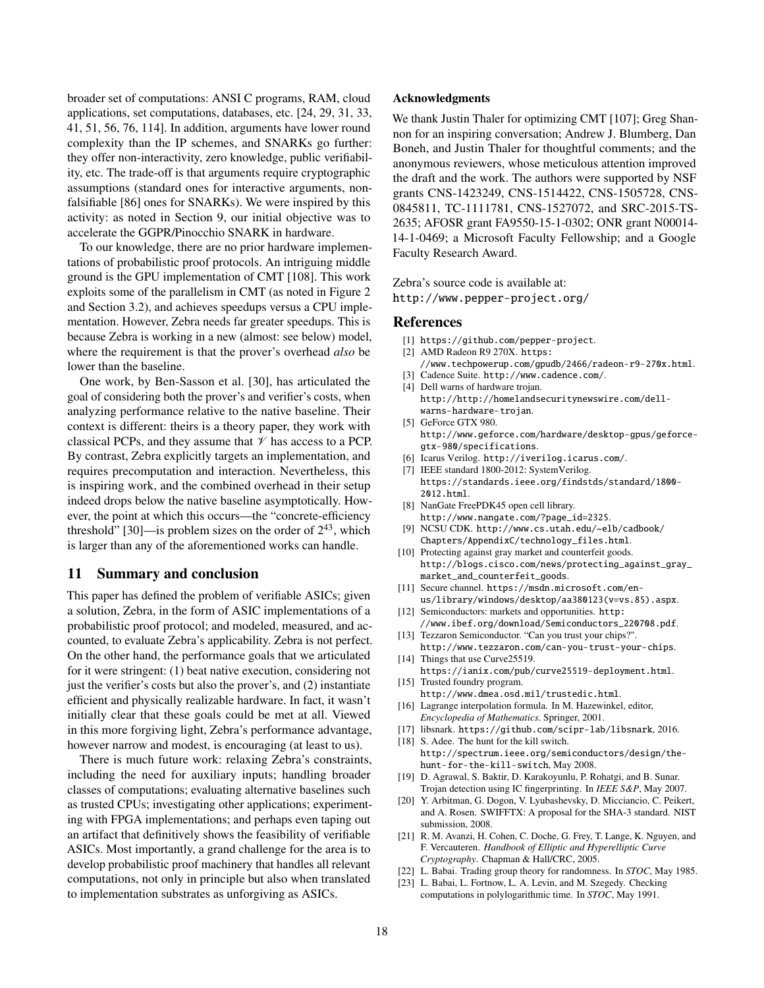broader set of computations: ANSI C programs, RAM, cloud applications, set computations, databases, etc. [\[24,](#page-18-16) [29,](#page-18-18) [31,](#page-18-19) [33,](#page-18-20) [41,](#page-18-21) [51,](#page-18-22) [56,](#page-18-24) [76,](#page-19-14) [114\]](#page-19-21). In addition, arguments have lower round complexity than the IP schemes, and SNARKs go further: they offer non-interactivity, zero knowledge, public verifiability, etc. The trade-off is that arguments require cryptographic assumptions (standard ones for interactive arguments, nonfalsifiable [\[86\]](#page-19-47) ones for SNARKs). We were inspired by this activity: as noted in Section [9,](#page-15-0) our initial objective was to accelerate the GGPR/Pinocchio SNARK in hardware.

To our knowledge, there are no prior hardware implementations of probabilistic proof protocols. An intriguing middle ground is the GPU implementation of CMT [\[108\]](#page-19-19). This work exploits some of the parallelism in CMT (as noted in Figure [2](#page-4-0) and Section [3.2\)](#page-6-1), and achieves speedups versus a CPU implementation. However, Zebra needs far greater speedups. This is because Zebra is working in a new (almost: see below) model, where the requirement is that the prover's overhead *also* be lower than the baseline.

One work, by Ben-Sasson et al. [\[30\]](#page-18-48), has articulated the goal of considering both the prover's and verifier's costs, when analyzing performance relative to the native baseline. Their context is different: theirs is a theory paper, they work with classical PCPs, and they assume that  $\mathcal V$  has access to a PCP. By contrast, Zebra explicitly targets an implementation, and requires precomputation and interaction. Nevertheless, this is inspiring work, and the combined overhead in their setup indeed drops below the native baseline asymptotically. However, the point at which this occurs—the "concrete-efficiency threshold" [\[30\]](#page-18-48)—is problem sizes on the order of  $2^{43}$ , which is larger than any of the aforementioned works can handle.

# 11 Summary and conclusion

This paper has defined the problem of verifiable ASICs; given a solution, Zebra, in the form of ASIC implementations of a probabilistic proof protocol; and modeled, measured, and accounted, to evaluate Zebra's applicability. Zebra is not perfect. On the other hand, the performance goals that we articulated for it were stringent: (1) beat native execution, considering not just the verifier's costs but also the prover's, and (2) instantiate efficient and physically realizable hardware. In fact, it wasn't initially clear that these goals could be met at all. Viewed in this more forgiving light, Zebra's performance advantage, however narrow and modest, is encouraging (at least to us).

There is much future work: relaxing Zebra's constraints, including the need for auxiliary inputs; handling broader classes of computations; evaluating alternative baselines such as trusted CPUs; investigating other applications; experimenting with FPGA implementations; and perhaps even taping out an artifact that definitively shows the feasibility of verifiable ASICs. Most importantly, a grand challenge for the area is to develop probabilistic proof machinery that handles all relevant computations, not only in principle but also when translated to implementation substrates as unforgiving as ASICs.

#### Acknowledgments

We thank Justin Thaler for optimizing CMT [\[107\]](#page-19-26); Greg Shannon for an inspiring conversation; Andrew J. Blumberg, Dan Boneh, and Justin Thaler for thoughtful comments; and the anonymous reviewers, whose meticulous attention improved the draft and the work. The authors were supported by NSF grants CNS-1423249, CNS-1514422, CNS-1505728, CNS-0845811, TC-1111781, CNS-1527072, and SRC-2015-TS-2635; AFOSR grant FA9550-15-1-0302; ONR grant N00014- 14-1-0469; a Microsoft Faculty Fellowship; and a Google Faculty Research Award.

Zebra's source code is available at: <http://www.pepper-project.org/>

#### References

- <span id="page-17-10"></span>[1] <https://github.com/pepper-project>.
- <span id="page-17-16"></span>[2] AMD Radeon R9 270X. [https:](https://www.techpowerup.com/gpudb/2466/radeon-r9-270x.html) [//www.techpowerup.com/gpudb/2466/radeon-r9-270x.html](https://www.techpowerup.com/gpudb/2466/radeon-r9-270x.html).
- <span id="page-17-12"></span><span id="page-17-1"></span>[3] Cadence Suite. <http://www.cadence.com/>. [4] Dell warns of hardware trojan.
- [http://http://homelandsecuritynewswire.com/dell](http://http://homelandsecuritynewswire.com/dell-warns-hardware-trojan)[warns-hardware-trojan](http://http://homelandsecuritynewswire.com/dell-warns-hardware-trojan).
- <span id="page-17-17"></span>[5] GeForce GTX 980. [http://www.geforce.com/hardware/desktop-gpus/geforce](http://www.geforce.com/hardware/desktop-gpus/geforce-gtx-980/specifications)[gtx-980/specifications](http://www.geforce.com/hardware/desktop-gpus/geforce-gtx-980/specifications).
- <span id="page-17-13"></span>[6] Icarus Verilog. <http://iverilog.icarus.com/>.
- <span id="page-17-11"></span>[7] IEEE standard 1800-2012: SystemVerilog. [https://standards.ieee.org/findstds/standard/1800-](https://standards.ieee.org/findstds/standard/1800-2012.html) [2012.html](https://standards.ieee.org/findstds/standard/1800-2012.html).
- <span id="page-17-14"></span>[8] NanGate FreePDK45 open cell library. [http://www.nangate.com/?page\\_id=2325](http://www.nangate.com/?page_id=2325).
- <span id="page-17-15"></span>[9] NCSU CDK. [http://www.cs.utah.edu/~elb/cadbook/](http://www.cs.utah.edu/~elb/cadbook/Chapters/AppendixC/technology_files.html) [Chapters/AppendixC/technology\\_files.html](http://www.cs.utah.edu/~elb/cadbook/Chapters/AppendixC/technology_files.html).
- <span id="page-17-2"></span>[10] Protecting against gray market and counterfeit goods. [http://blogs.cisco.com/news/protecting\\_against\\_gray\\_](http://blogs.cisco.com/news/protecting_against_gray_market_and_counterfeit_goods) [market\\_and\\_counterfeit\\_goods](http://blogs.cisco.com/news/protecting_against_gray_market_and_counterfeit_goods).
- <span id="page-17-21"></span>[11] Secure channel. [https://msdn.microsoft.com/en](https://msdn.microsoft.com/en-us/library/windows/desktop/aa380123(v=vs.85).aspx)[us/library/windows/desktop/aa380123\(v=vs.85\).aspx](https://msdn.microsoft.com/en-us/library/windows/desktop/aa380123(v=vs.85).aspx).
- <span id="page-17-5"></span>[12] Semiconductors: markets and opportunities. [http:](http://www.ibef.org/download/Semiconductors_220708.pdf) [//www.ibef.org/download/Semiconductors\\_220708.pdf](http://www.ibef.org/download/Semiconductors_220708.pdf).
- <span id="page-17-9"></span>[13] Tezzaron Semiconductor. "Can you trust your chips?". <http://www.tezzaron.com/can-you-trust-your-chips>.
- <span id="page-17-19"></span>[14] Things that use Curve25519. <https://ianix.com/pub/curve25519-deployment.html>. [15] Trusted foundry program.
- <span id="page-17-3"></span><http://www.dmea.osd.mil/trustedic.html>. [16] Lagrange interpolation formula. In M. Hazewinkel, editor,
- <span id="page-17-8"></span>*Encyclopedia of Mathematics*. Springer, 2001.
- <span id="page-17-22"></span>[17] libsnark. <https://github.com/scipr-lab/libsnark>, 2016.
- <span id="page-17-4"></span>[18] S. Adee. The hunt for the kill switch. [http://spectrum.ieee.org/semiconductors/design/the](http://spectrum.ieee.org/semiconductors/design/the-hunt-for-the-kill-switch)[hunt-for-the-kill-switch](http://spectrum.ieee.org/semiconductors/design/the-hunt-for-the-kill-switch), May 2008.
- <span id="page-17-0"></span>[19] D. Agrawal, S. Baktir, D. Karakoyunlu, P. Rohatgi, and B. Sunar. Trojan detection using IC fingerprinting. In *IEEE S&P*, May 2007.
- <span id="page-17-18"></span>[20] Y. Arbitman, G. Dogon, V. Lyubashevsky, D. Micciancio, C. Peikert, and A. Rosen. SWIFFTX: A proposal for the SHA-3 standard. NIST submission, 2008.
- <span id="page-17-20"></span>[21] R. M. Avanzi, H. Cohen, C. Doche, G. Frey, T. Lange, K. Nguyen, and F. Vercauteren. *Handbook of Elliptic and Hyperelliptic Curve Cryptography*. Chapman & Hall/CRC, 2005.
- <span id="page-17-6"></span>[22] L. Babai. Trading group theory for randomness. In *STOC*, May 1985.
- <span id="page-17-7"></span>L. Babai, L. Fortnow, L. A. Levin, and M. Szegedy. Checking computations in polylogarithmic time. In *STOC*, May 1991.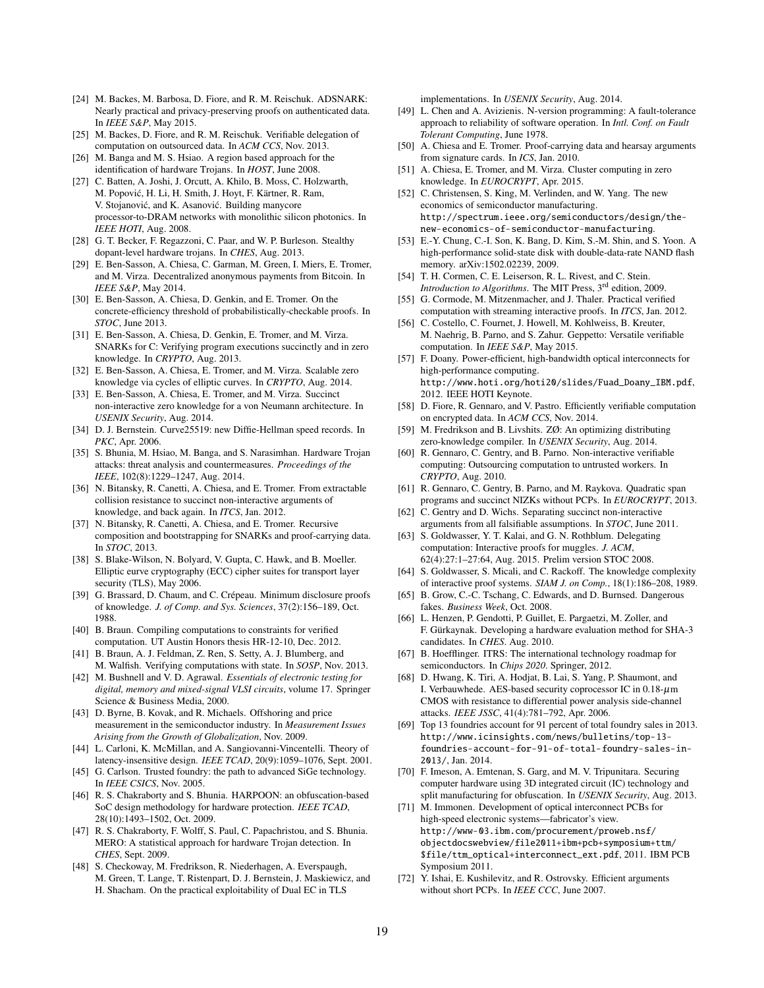- <span id="page-18-16"></span>[24] M. Backes, M. Barbosa, D. Fiore, and R. M. Reischuk. ADSNARK: Nearly practical and privacy-preserving proofs on authenticated data. In *IEEE S&P*, May 2015.
- <span id="page-18-17"></span>[25] M. Backes, D. Fiore, and R. M. Reischuk. Verifiable delegation of computation on outsourced data. In *ACM CCS*, Nov. 2013.
- <span id="page-18-3"></span>[26] M. Banga and M. S. Hsiao. A region based approach for the identification of hardware Trojans. In *HOST*, June 2008.
- <span id="page-18-33"></span>[27] C. Batten, A. Joshi, J. Orcutt, A. Khilo, B. Moss, C. Holzwarth, M. Popovic, H. Li, H. Smith, J. Hoyt, F. Kärtner, R. Ram, ´ V. Stojanović, and K. Asanović. Building manycore processor-to-DRAM networks with monolithic silicon photonics. In *IEEE HOTI*, Aug. 2008.
- <span id="page-18-47"></span>[28] G. T. Becker, F. Regazzoni, C. Paar, and W. P. Burleson. Stealthy dopant-level hardware trojans. In *CHES*, Aug. 2013.
- <span id="page-18-18"></span>[29] E. Ben-Sasson, A. Chiesa, C. Garman, M. Green, I. Miers, E. Tromer, and M. Virza. Decentralized anonymous payments from Bitcoin. In *IEEE S&P*, May 2014.
- <span id="page-18-48"></span>[30] E. Ben-Sasson, A. Chiesa, D. Genkin, and E. Tromer. On the concrete-efficiency threshold of probabilistically-checkable proofs. In *STOC*, June 2013.
- <span id="page-18-19"></span>[31] E. Ben-Sasson, A. Chiesa, D. Genkin, E. Tromer, and M. Virza. SNARKs for C: Verifying program executions succinctly and in zero knowledge. In *CRYPTO*, Aug. 2013.
- <span id="page-18-44"></span>[32] E. Ben-Sasson, A. Chiesa, E. Tromer, and M. Virza. Scalable zero knowledge via cycles of elliptic curves. In *CRYPTO*, Aug. 2014.
- <span id="page-18-20"></span>[33] E. Ben-Sasson, A. Chiesa, E. Tromer, and M. Virza. Succinct non-interactive zero knowledge for a von Neumann architecture. In *USENIX Security*, Aug. 2014.
- <span id="page-18-41"></span>[34] D. J. Bernstein. Curve25519: new Diffie-Hellman speed records. In *PKC*, Apr. 2006.
- <span id="page-18-0"></span>[35] S. Bhunia, M. Hsiao, M. Banga, and S. Narasimhan. Hardware Trojan attacks: threat analysis and countermeasures. *Proceedings of the IEEE*, 102(8):1229–1247, Aug. 2014.
- <span id="page-18-14"></span>[36] N. Bitansky, R. Canetti, A. Chiesa, and E. Tromer. From extractable collision resistance to succinct non-interactive arguments of knowledge, and back again. In *ITCS*, Jan. 2012.
- <span id="page-18-45"></span>[37] N. Bitansky, R. Canetti, A. Chiesa, and E. Tromer. Recursive composition and bootstrapping for SNARKs and proof-carrying data. In *STOC*, 2013.
- <span id="page-18-42"></span>[38] S. Blake-Wilson, N. Bolyard, V. Gupta, C. Hawk, and B. Moeller. Elliptic eurve cryptography (ECC) cipher suites for transport layer security (TLS), May 2006.
- <span id="page-18-11"></span>[39] G. Brassard, D. Chaum, and C. Crépeau. Minimum disclosure proofs of knowledge. *J. of Comp. and Sys. Sciences*, 37(2):156–189, Oct. 1988.
- <span id="page-18-29"></span>[40] B. Braun. Compiling computations to constraints for verified computation. UT Austin Honors thesis HR-12-10, Dec. 2012.
- <span id="page-18-21"></span>[41] B. Braun, A. J. Feldman, Z. Ren, S. Setty, A. J. Blumberg, and M. Walfish. Verifying computations with state. In *SOSP*, Nov. 2013.
- <span id="page-18-46"></span>[42] M. Bushnell and V. D. Agrawal. *Essentials of electronic testing for digital, memory and mixed-signal VLSI circuits*, volume 17. Springer Science & Business Media, 2000.
- <span id="page-18-32"></span>[43] D. Byrne, B. Kovak, and R. Michaels. Offshoring and price measurement in the semiconductor industry. In *Measurement Issues Arising from the Growth of Globalization*, Nov. 2009.
- <span id="page-18-28"></span>[44] L. Carloni, K. McMillan, and A. Sangiovanni-Vincentelli. Theory of latency-insensitive design. *IEEE TCAD*, 20(9):1059–1076, Sept. 2001.
- <span id="page-18-1"></span>[45] G. Carlson. Trusted foundry: the path to advanced SiGe technology. In *IEEE CSICS*, Nov. 2005.
- <span id="page-18-5"></span>[46] R. S. Chakraborty and S. Bhunia. HARPOON: an obfuscation-based SoC design methodology for hardware protection. *IEEE TCAD*, 28(10):1493–1502, Oct. 2009.
- <span id="page-18-4"></span>[47] R. S. Chakraborty, F. Wolff, S. Paul, C. Papachristou, and S. Bhunia. MERO: A statistical approach for hardware Trojan detection. In *CHES*, Sept. 2009.
- <span id="page-18-43"></span>[48] S. Checkoway, M. Fredrikson, R. Niederhagen, A. Everspaugh, M. Green, T. Lange, T. Ristenpart, D. J. Bernstein, J. Maskiewicz, and H. Shacham. On the practical exploitability of Dual EC in TLS

implementations. In *USENIX Security*, Aug. 2014.

- <span id="page-18-7"></span>[49] L. Chen and A. Avizienis. N-version programming: A fault-tolerance approach to reliability of software operation. In *Intl. Conf. on Fault Tolerant Computing*, June 1978.
- <span id="page-18-30"></span>[50] A. Chiesa and E. Tromer. Proof-carrying data and hearsay arguments from signature cards. In *ICS*, Jan. 2010.
- <span id="page-18-22"></span>[51] A. Chiesa, E. Tromer, and M. Virza. Cluster computing in zero knowledge. In *EUROCRYPT*, Apr. 2015.
- <span id="page-18-8"></span>[52] C. Christensen, S. King, M. Verlinden, and W. Yang. The new economics of semiconductor manufacturing. [http://spectrum.ieee.org/semiconductors/design/the](http://spectrum.ieee.org/semiconductors/design/the-new-economics-of-semiconductor-manufacturing)[new-economics-of-semiconductor-manufacturing](http://spectrum.ieee.org/semiconductors/design/the-new-economics-of-semiconductor-manufacturing).
- <span id="page-18-39"></span>[53] E.-Y. Chung, C.-I. Son, K. Bang, D. Kim, S.-M. Shin, and S. Yoon. A high-performance solid-state disk with double-data-rate NAND flash memory. arXiv:1502.02239, 2009.
- <span id="page-18-40"></span>[54] T. H. Cormen, C. E. Leiserson, R. L. Rivest, and C. Stein. *Introduction to Algorithms*. The MIT Press, 3rd edition, 2009.
- <span id="page-18-23"></span>[55] G. Cormode, M. Mitzenmacher, and J. Thaler. Practical verified computation with streaming interactive proofs. In *ITCS*, Jan. 2012.
- <span id="page-18-24"></span>[56] C. Costello, C. Fournet, J. Howell, M. Kohlweiss, B. Kreuter, M. Naehrig, B. Parno, and S. Zahur. Geppetto: Versatile verifiable computation. In *IEEE S&P*, May 2015.
- <span id="page-18-34"></span>[57] F. Doany. Power-efficient, high-bandwidth optical interconnects for high-performance computing. [http://www.hoti.org/hoti20/slides/Fuad\\_Doany\\_IBM.pdf](http://www.hoti.org/hoti20/slides/Fuad_Doany_IBM.pdf), 2012. IEEE HOTI Keynote.
- <span id="page-18-25"></span>[58] D. Fiore, R. Gennaro, and V. Pastro. Efficiently verifiable computation on encrypted data. In *ACM CCS*, Nov. 2014.
- <span id="page-18-26"></span>[59] M. Fredrikson and B. Livshits. ZØ: An optimizing distributing zero-knowledge compiler. In *USENIX Security*, Aug. 2014.
- <span id="page-18-15"></span>[60] R. Gennaro, C. Gentry, and B. Parno. Non-interactive verifiable computing: Outsourcing computation to untrusted workers. In *CRYPTO*, Aug. 2010.
- <span id="page-18-27"></span>[61] R. Gennaro, C. Gentry, B. Parno, and M. Raykova. Quadratic span programs and succinct NIZKs without PCPs. In *EUROCRYPT*, 2013.
- <span id="page-18-13"></span>[62] C. Gentry and D. Wichs. Separating succinct non-interactive arguments from all falsifiable assumptions. In *STOC*, June 2011.
- <span id="page-18-9"></span>[63] S. Goldwasser, Y. T. Kalai, and G. N. Rothblum. Delegating computation: Interactive proofs for muggles. *J. ACM*, 62(4):27:1–27:64, Aug. 2015. Prelim version STOC 2008.
- <span id="page-18-10"></span>[64] S. Goldwasser, S. Micali, and C. Rackoff. The knowledge complexity of interactive proof systems. *SIAM J. on Comp.*, 18(1):186–208, 1989.
- <span id="page-18-31"></span>[65] B. Grow, C.-C. Tschang, C. Edwards, and D. Burnsed. Dangerous fakes. *Business Week*, Oct. 2008.
- <span id="page-18-36"></span>[66] L. Henzen, P. Gendotti, P. Guillet, E. Pargaetzi, M. Zoller, and F. Gürkaynak. Developing a hardware evaluation method for SHA-3 candidates. In *CHES*. Aug. 2010.
- <span id="page-18-38"></span>[67] B. Hoefflinger. ITRS: The international technology roadmap for semiconductors. In *Chips 2020*. Springer, 2012.
- <span id="page-18-37"></span>[68] D. Hwang, K. Tiri, A. Hodjat, B. Lai, S. Yang, P. Shaumont, and I. Verbauwhede. AES-based security coprocessor IC in  $0.18 - \mu$ m CMOS with resistance to differential power analysis side-channel attacks. *IEEE JSSC*, 41(4):781–792, Apr. 2006.
- <span id="page-18-2"></span>[69] Top 13 foundries account for 91 percent of total foundry sales in 2013. [http://www.icinsights.com/news/bulletins/top-13](http://www.icinsights.com/news/bulletins/top-13-foundries-account-for-91-of-total-foundry-sales-in-2013/) [foundries-account-for-91-of-total-foundry-sales-in-](http://www.icinsights.com/news/bulletins/top-13-foundries-account-for-91-of-total-foundry-sales-in-2013/)[2013/](http://www.icinsights.com/news/bulletins/top-13-foundries-account-for-91-of-total-foundry-sales-in-2013/), Jan. 2014.
- <span id="page-18-6"></span>[70] F. Imeson, A. Emtenan, S. Garg, and M. V. Tripunitara. Securing computer hardware using 3D integrated circuit (IC) technology and split manufacturing for obfuscation. In *USENIX Security*, Aug. 2013.
- <span id="page-18-35"></span>[71] M. Immonen. Development of optical interconnect PCBs for high-speed electronic systems—fabricator's view. [http://www-03.ibm.com/procurement/proweb.nsf/](http://www-03.ibm.com/procurement/proweb.nsf/objectdocswebview/file2011+ibm+pcb+symposium+ttm/$file/ttm_optical+interconnect_ext.pdf) [objectdocswebview/file2011+ibm+pcb+symposium+ttm/](http://www-03.ibm.com/procurement/proweb.nsf/objectdocswebview/file2011+ibm+pcb+symposium+ttm/$file/ttm_optical+interconnect_ext.pdf) [\\$file/ttm\\_optical+interconnect\\_ext.pdf](http://www-03.ibm.com/procurement/proweb.nsf/objectdocswebview/file2011+ibm+pcb+symposium+ttm/$file/ttm_optical+interconnect_ext.pdf), 2011. IBM PCB Symposium 2011.
- <span id="page-18-12"></span>[72] Y. Ishai, E. Kushilevitz, and R. Ostrovsky. Efficient arguments without short PCPs. In *IEEE CCC*, June 2007.